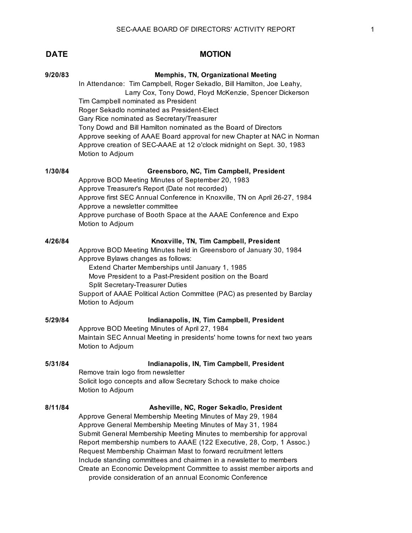| 9/20/83 | <b>Memphis, TN, Organizational Meeting</b>                                                                                                                                                                                                                                             |
|---------|----------------------------------------------------------------------------------------------------------------------------------------------------------------------------------------------------------------------------------------------------------------------------------------|
|         | In Attendance: Tim Campbell, Roger Sekadlo, Bill Hamilton, Joe Leahy,<br>Larry Cox, Tony Dowd, Floyd McKenzie, Spencer Dickerson                                                                                                                                                       |
|         | Tim Campbell nominated as President<br>Roger Sekadlo nominated as President-Elect                                                                                                                                                                                                      |
|         | Gary Rice nominated as Secretary/Treasurer<br>Tony Dowd and Bill Hamilton nominated as the Board of Directors<br>Approve seeking of AAAE Board approval for new Chapter at NAC in Norman<br>Approve creation of SEC-AAAE at 12 o'clock midnight on Sept. 30, 1983<br>Motion to Adjourn |
| 1/30/84 | Greensboro, NC, Tim Campbell, President<br>Approve BOD Meeting Minutes of September 20, 1983                                                                                                                                                                                           |
|         | Approve Treasurer's Report (Date not recorded)<br>Approve first SEC Annual Conference in Knoxville, TN on April 26-27, 1984<br>Approve a newsletter committee                                                                                                                          |
|         | Approve purchase of Booth Space at the AAAE Conference and Expo<br>Motion to Adjourn                                                                                                                                                                                                   |
| 4/26/84 | Knoxville, TN, Tim Campbell, President<br>Approve BOD Meeting Minutes held in Greensboro of January 30, 1984                                                                                                                                                                           |
|         | Approve Bylaws changes as follows:                                                                                                                                                                                                                                                     |
|         | Extend Charter Memberships until January 1, 1985<br>Move President to a Past-President position on the Board                                                                                                                                                                           |
|         | <b>Split Secretary-Treasurer Duties</b><br>Support of AAAE Political Action Committee (PAC) as presented by Barclay<br>Motion to Adjourn                                                                                                                                               |
| 5/29/84 | Indianapolis, IN, Tim Campbell, President<br>Approve BOD Meeting Minutes of April 27, 1984                                                                                                                                                                                             |
|         | Maintain SEC Annual Meeting in presidents' home towns for next two years<br>Motion to Adjourn                                                                                                                                                                                          |
| 5/31/84 | Indianapolis, IN, Tim Campbell, President                                                                                                                                                                                                                                              |
|         | Remove train logo from newsletter<br>Solicit logo concepts and allow Secretary Schock to make choice<br>Motion to Adjourn                                                                                                                                                              |
| 8/11/84 | Asheville, NC, Roger Sekadlo, President                                                                                                                                                                                                                                                |
|         | Approve General Membership Meeting Minutes of May 29, 1984<br>Approve General Membership Meeting Minutes of May 31, 1984                                                                                                                                                               |
|         | Submit General Membership Meeting Minutes to membership for approval                                                                                                                                                                                                                   |
|         | Report membership numbers to AAAE (122 Executive, 28, Corp, 1 Assoc.)<br>Request Membership Chairman Mast to forward recruitment letters                                                                                                                                               |
|         | Include standing committees and chairmen in a newsletter to members<br>Create an Economic Development Committee to assist member airports and                                                                                                                                          |
|         | provide consideration of an annual Economic Conference                                                                                                                                                                                                                                 |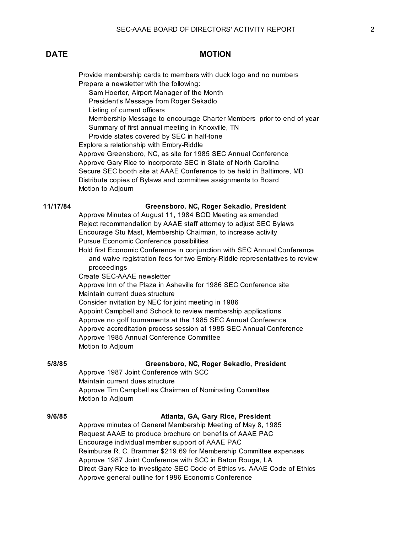Provide membership cards to members with duck logo and no numbers Prepare a newsletter with the following: Sam Hoerter, Airport Manager of the Month President's Message from Roger Sekadlo Listing of current officers Membership Message to encourage Charter Members prior to end of year Summary of first annual meeting in Knoxville, TN Provide states covered by SEC in half-tone Explore a relationship with Embry-Riddle Approve Greensboro, NC, as site for 1985 SEC Annual Conference Approve Gary Rice to incorporate SEC in State of North Carolina Secure SEC booth site at AAAE Conference to be held in Baltimore, MD Distribute copies of Bylaws and committee assignments to Board Motion to Adjourn **11/17/84 Greensboro, NC, Roger Sekadlo, President** Approve Minutes of August 11, 1984 BOD Meeting as amended Reject recommendation by AAAE staff attorney to adjust SEC Bylaws

Encourage Stu Mast, Membership Chairman, to increase activity Pursue Economic Conference possibilities Hold first Economic Conference in conjunction with SEC Annual Conference

 and waive registration fees for two Embry-Riddle representatives to review proceedings

Create SEC-AAAE newsletter

Approve Inn of the Plaza in Asheville for 1986 SEC Conference site Maintain current dues structure Consider invitation by NEC for joint meeting in 1986 Appoint Campbell and Schock to review membership applications

Approve no golf tournaments at the 1985 SEC Annual Conference Approve accreditation process session at 1985 SEC Annual Conference Approve 1985 Annual Conference Committee Motion to Adjourn

### **5/8/85 Greensboro, NC, Roger Sekadlo, President**

Approve 1987 Joint Conference with SCC Maintain current dues structure Approve Tim Campbell as Chairman of Nominating Committee Motion to Adjourn

### **9/6/85 Atlanta, GA, Gary Rice, President**

Approve minutes of General Membership Meeting of May 8, 1985 Request AAAE to produce brochure on benefits of AAAE PAC Encourage individual member support of AAAE PAC Reimburse R. C. Brammer \$219.69 for Membership Committee expenses Approve 1987 Joint Conference with SCC in Baton Rouge, LA Direct Gary Rice to investigate SEC Code of Ethics vs. AAAE Code of Ethics Approve general outline for 1986 Economic Conference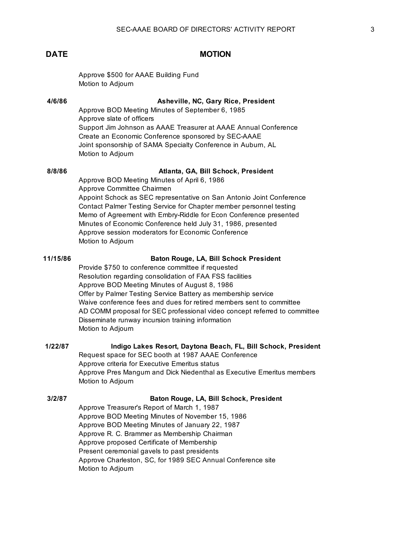Approve \$500 for AAAE Building Fund Motion to Adjourn

### **4/6/86 Asheville, NC, Gary Rice, President**

Approve BOD Meeting Minutes of September 6, 1985 Approve slate of officers Support Jim Johnson as AAAE Treasurer at AAAE Annual Conference Create an Economic Conference sponsored by SEC-AAAE Joint sponsorship of SAMA Specialty Conference in Auburn, AL Motion to Adjourn

### **8/8/86 Atlanta, GA, Bill Schock, President**

Approve BOD Meeting Minutes of April 6, 1986 Approve Committee Chairmen Appoint Schock as SEC representative on San Antonio Joint Conference Contact Palmer Testing Service for Chapter member personnel testing Memo of Agreement with Embry-Riddle for Econ Conference presented Minutes of Economic Conference held July 31, 1986, presented Approve session moderators for Economic Conference Motion to Adjourn

### **11/15/86 Baton Rouge, LA, Bill Schock President**

Provide \$750 to conference committee if requested Resolution regarding consolidation of FAA FSS facilities Approve BOD Meeting Minutes of August 8, 1986 Offer by Palmer Testing Service Battery as membership service Waive conference fees and dues for retired members sent to committee AD COMM proposal for SEC professional video concept referred to committee Disseminate runway incursion training information Motion to Adjourn

### **1/22/87 Indigo Lakes Resort, Daytona Beach, FL, Bill Schock, President**

Request space for SEC booth at 1987 AAAE Conference Approve criteria for Executive Emeritus status Approve Pres Mangum and Dick Niedenthal as Executive Emeritus members Motion to Adjourn

### **3/2/87 Baton Rouge, LA, Bill Schock, President**

Approve Treasurer's Report of March 1, 1987 Approve BOD Meeting Minutes of November 15, 1986 Approve BOD Meeting Minutes of January 22, 1987 Approve R. C. Brammer as Membership Chairman Approve proposed Certificate of Membership Present ceremonial gavels to past presidents Approve Charleston, SC, for 1989 SEC Annual Conference site Motion to Adjourn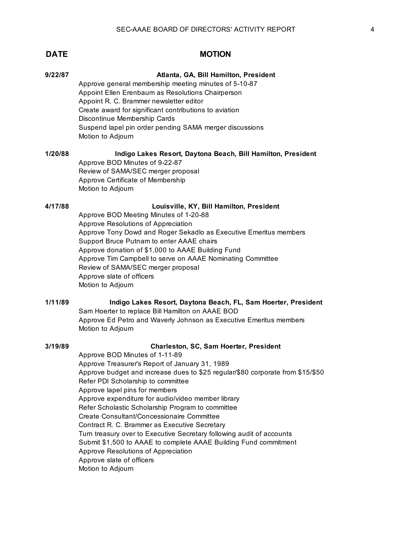Approve general membership meeting minutes of 5-10-87 Appoint Ellen Erenbaum as Resolutions Chairperson Appoint R. C. Brammer newsletter editor Create award for significant contributions to aviation Discontinue Membership Cards Suspend lapel pin order pending SAMA merger discussions Motion to Adjourn

**1/20/88 Indigo Lakes Resort, Daytona Beach, Bill Hamilton, President** Approve BOD Minutes of 9-22-87 Review of SAMA/SEC merger proposal Approve Certificate of Membership Motion to Adjourn

## **4/17/88 Louisville, KY, Bill Hamilton, President**

Approve BOD Meeting Minutes of 1-20-88 Approve Resolutions of Appreciation Approve Tony Dowd and Roger Sekadlo as Executive Emeritus members Support Bruce Putnam to enter AAAE chairs Approve donation of \$1,000 to AAAE Building Fund Approve Tim Campbell to serve on AAAE Nominating Committee Review of SAMA/SEC merger proposal Approve slate of officers Motion to Adjourn

### **1/11/89 Indigo Lakes Resort, Daytona Beach, FL, Sam Hoerter, President** Sam Hoerter to replace Bill Hamilton on AAAE BOD Approve Ed Petro and Waverly Johnson as Executive Emeritus members Motion to Adjourn

### **3/19/89 Charleston, SC, Sam Hoerter, President**

Approve BOD Minutes of 1-11-89 Approve Treasurer's Report of January 31, 1989 Approve budget and increase dues to \$25 regular/\$80 corporate from \$15/\$50 Refer PDI Scholarship to committee Approve lapel pins for members Approve expenditure for audio/video member library Refer Scholastic Scholarship Program to committee Create Consultant/Concessionaire Committee Contract R. C. Brammer as Executive Secretary Turn treasury over to Executive Secretary following audit of accounts Submit \$1,500 to AAAE to complete AAAE Building Fund commitment Approve Resolutions of Appreciation Approve slate of officers Motion to Adjourn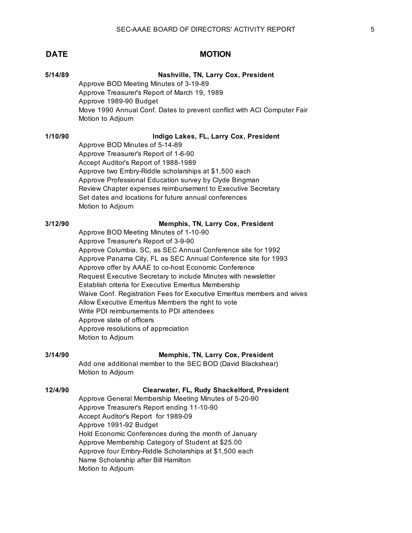| <b>DATE</b> | <b>MOTION</b>                                                                                                                                                                                                                                                                                                                                                                                                                                                                                                                                                                                                                                                                                                 |
|-------------|---------------------------------------------------------------------------------------------------------------------------------------------------------------------------------------------------------------------------------------------------------------------------------------------------------------------------------------------------------------------------------------------------------------------------------------------------------------------------------------------------------------------------------------------------------------------------------------------------------------------------------------------------------------------------------------------------------------|
| 5/14/89     | Nashville, TN, Larry Cox, President<br>Approve BOD Meeting Minutes of 3-19-89<br>Approve Treasurer's Report of March 19, 1989<br>Approve 1989-90 Budget<br>Move 1990 Annual Conf. Dates to prevent conflict with ACI Computer Fair<br>Motion to Adjourn                                                                                                                                                                                                                                                                                                                                                                                                                                                       |
| 1/10/90     | Indigo Lakes, FL, Larry Cox, President<br>Approve BOD Minutes of 5-14-89<br>Approve Treasurer's Report of 1-6-90<br>Accept Auditor's Report of 1988-1989<br>Approve two Embry-Riddle scholarships at \$1,500 each<br>Approve Professional Education survey by Clyde Bingman<br>Review Chapter expenses reimbursement to Executive Secretary<br>Set dates and locations for future annual conferences<br>Motion to Adjourn                                                                                                                                                                                                                                                                                     |
| 3/12/90     | Memphis, TN, Larry Cox, President<br>Approve BOD Meeting Minutes of 1-10-90<br>Approve Treasurer's Report of 3-9-90<br>Approve Columbia, SC, as SEC Annual Conference site for 1992<br>Approve Panama City, FL as SEC Annual Conference site for 1993<br>Approve offer by AAAE to co-host Economic Conference<br>Request Executive Secretary to include Minutes with newsletter<br>Establish criteria for Executive Emeritus Membership<br>Waive Conf. Registration Fees for Executive Emeritus members and wives<br>Allow Executive Emeritus Members the right to vote<br>Write PDI reimbursements to PDI attendees<br>Approve slate of officers<br>Approve resolutions of appreciation<br>Motion to Adjourn |
| 3/14/90     | Memphis, TN, Larry Cox, President<br>Add one additional member to the SEC BOD (David Blackshear)<br>Motion to Adjourn                                                                                                                                                                                                                                                                                                                                                                                                                                                                                                                                                                                         |
| 12/4/90     | Clearwater, FL, Rudy Shackelford, President<br>Approve General Membership Meeting Minutes of 5-20-90<br>Approve Treasurer's Report ending 11-10-90                                                                                                                                                                                                                                                                                                                                                                                                                                                                                                                                                            |

Accept Auditor's Report for 1989-09

Name Scholarship after Bill Hamilton

Hold Economic Conferences during the month of January Approve Membership Category of Student at \$25.00 Approve four Embry-Riddle Scholarships at \$1,500 each

Approve 1991-92 Budget

Motion to Adjourn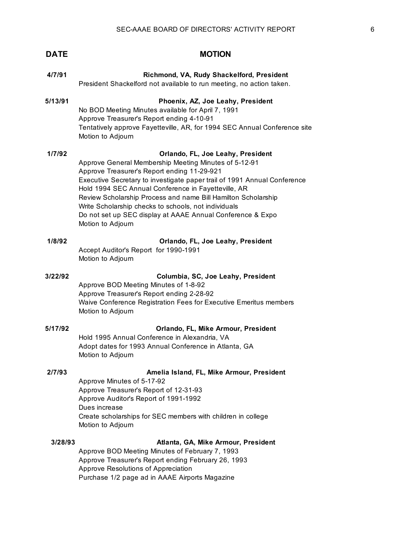| 4/7/91  | Richmond, VA, Rudy Shackelford, President<br>President Shackelford not available to run meeting, no action taken.                                                                                                                                                                                                                                                                                                                                                                        |
|---------|------------------------------------------------------------------------------------------------------------------------------------------------------------------------------------------------------------------------------------------------------------------------------------------------------------------------------------------------------------------------------------------------------------------------------------------------------------------------------------------|
| 5/13/91 | Phoenix, AZ, Joe Leahy, President<br>No BOD Meeting Minutes available for April 7, 1991<br>Approve Treasurer's Report ending 4-10-91<br>Tentatively approve Fayetteville, AR, for 1994 SEC Annual Conference site<br>Motion to Adjourn                                                                                                                                                                                                                                                   |
| 1/7/92  | Orlando, FL, Joe Leahy, President<br>Approve General Membership Meeting Minutes of 5-12-91<br>Approve Treasurer's Report ending 11-29-921<br>Executive Secretary to investigate paper trail of 1991 Annual Conference<br>Hold 1994 SEC Annual Conference in Fayetteville, AR<br>Review Scholarship Process and name Bill Hamilton Scholarship<br>Write Scholarship checks to schools, not individuals<br>Do not set up SEC display at AAAE Annual Conference & Expo<br>Motion to Adjourn |
| 1/8/92  | Orlando, FL, Joe Leahy, President<br>Accept Auditor's Report for 1990-1991<br>Motion to Adjourn                                                                                                                                                                                                                                                                                                                                                                                          |
| 3/22/92 | Columbia, SC, Joe Leahy, President<br>Approve BOD Meeting Minutes of 1-8-92<br>Approve Treasurer's Report ending 2-28-92<br>Waive Conference Registration Fees for Executive Emeritus members<br>Motion to Adjourn                                                                                                                                                                                                                                                                       |
| 5/17/92 | Orlando, FL, Mike Armour, President<br>Hold 1995 Annual Conference in Alexandria, VA<br>Adopt dates for 1993 Annual Conference in Atlanta, GA<br>Motion to Adjourn                                                                                                                                                                                                                                                                                                                       |
| 2/7/93  | Amelia Island, FL, Mike Armour, President<br>Approve Minutes of 5-17-92<br>Approve Treasurer's Report of 12-31-93<br>Approve Auditor's Report of 1991-1992<br>Dues increase<br>Create scholarships for SEC members with children in college<br>Motion to Adjourn                                                                                                                                                                                                                         |
| 3/28/93 | Atlanta, GA, Mike Armour, President<br>Approve BOD Meeting Minutes of February 7, 1993<br>Approve Treasurer's Report ending February 26, 1993<br>Approve Resolutions of Appreciation<br>Purchase 1/2 page ad in AAAE Airports Magazine                                                                                                                                                                                                                                                   |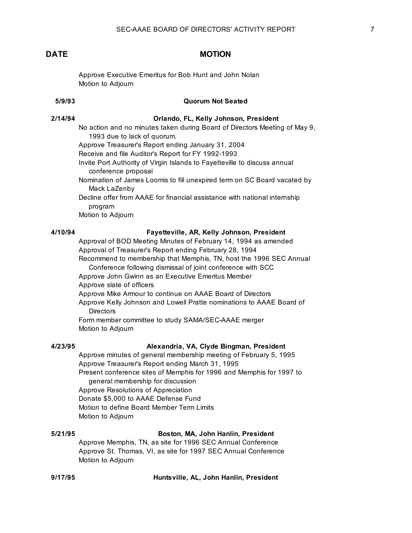Approve Executive Emeritus for Bob Hunt and John Nolan Motion to Adjourn

# **5/9/93 Quorum Not Seated**

### **2/14/94 Orlando, FL, Kelly Johnson, President**

- No action and no minutes taken during Board of Directors Meeting of May 9, 1993 due to lack of quorum.
- Approve Treasurer's Report ending January 31, 2004
- Receive and file Auditor's Report for FY 1992-1993
- Invite Port Authority of Virgin Islands to Fayetteville to discuss annual conference proposal
- Nomination of James Loomis to fill unexpired term on SC Board vacated by Mack LaZenby
- Decline offer from AAAE for financial assistance with national internship program
- Motion to Adjourn

### **4/10/94 Fayetteville, AR, Kelly Johnson, President**

Approval of BOD Meeting Minutes of February 14, 1994 as amended Approval of Treasurer's Report ending February 28, 1994 Recommend to membership that Memphis, TN, host the 1996 SEC Annual Conference following dismissal of joint conference with SCC

Approve John Gwinn as an Executive Emeritus Member Approve slate of officers

Approve Mike Armour to continue on AAAE Board of Directors

Approve Kelly Johnson and Lowell Pratte nominations to AAAE Board of **Directors** 

Form member committee to study SAMA/SEC-AAAE merger Motion to Adjourn

### **4/23/95 Alexandria, VA, Clyde Bingman, President**

Approve minutes of general membership meeting of February 5, 1995 Approve Treasurer's Report ending March 31, 1995 Present conference sites of Memphis for 1996 and Memphis for 1997 to general membership for discussion Approve Resolutions of Appreciation Donate \$5,000 to AAAE Defense Fund

Motion to define Board Member Term Limits

Motion to Adjourn

### **5/21/95 Boston, MA, John Hanlin, President**

Approve Memphis, TN, as site for 1996 SEC Annual Conference Approve St. Thomas, VI, as site for 1997 SEC Annual Conference Motion to Adjourn

**9/17/95 Huntsville, AL, John Hanlin, President**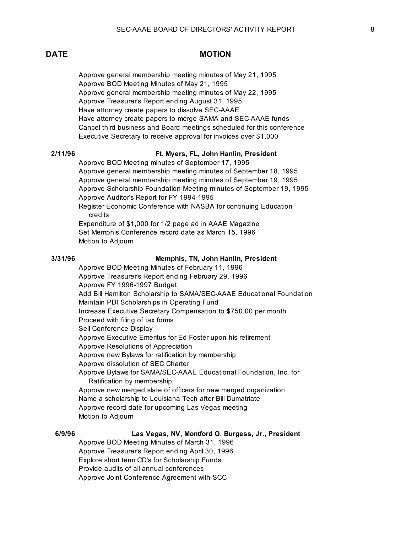Approve general membership meeting minutes of May 21, 1995 Approve BOD Meeting Minutes of May 21, 1995 Approve general membership meeting minutes of May 22, 1995 Approve Treasurer's Report ending August 31, 1995 Have attorney create papers to dissolve SEC-AAAE Have attorney create papers to merge SAMA and SEC-AAAE funds Cancel third business and Board meetings scheduled for this conference Executive Secretary to receive approval for invoices over \$1,000

### **2/11/96 Ft. Myers, FL, John Hanlin, President**

Approve BOD Meeting minutes of September 17, 1995 Approve general membership meeting minutes of September 18, 1995 Approve general membership meeting minutes of September 19, 1995 Approve Scholarship Foundation Meeting minutes of September 19, 1995 Approve Auditor's Report for FY 1994-1995 Register Economic Conference with NASBA for continuing Education credits Expenditure of \$1,000 for 1/2 page ad in AAAE Magazine Set Memphis Conference record date as March 15, 1996

Motion to Adjourn

### **3/31/96 Memphis, TN, John Hanlin, President**

Approve BOD Meeting Minutes of February 11, 1996 Approve Treasurer's Report ending February 29, 1996 Approve FY 1996-1997 Budget Add Bill Hamilton Scholarship to SAMA/SEC-AAAE Educational Foundation Maintain PDI Scholarships in Operating Fund Increase Executive Secretary Compensation to \$750.00 per month Proceed with filing of tax forms Sell Conference Display Approve Executive Emeritus for Ed Foster upon his retirement Approve Resolutions of Appreciation Approve new Bylaws for ratification by membership Approve dissolution of SEC Charter Approve Bylaws for SAMA/SEC-AAAE Educational Foundation, Inc. for Ratification by membership Approve new merged slate of officers for new merged organization Name a scholarship to Louisiana Tech after Bill Dumatriate Approve record date for upcoming Las Vegas meeting Motion to Adjourn

### **6/9/96 Las Vegas, NV, Montford O. Burgess, Jr., President**

Approve BOD Meeting Minutes of March 31, 1996 Approve Treasurer's Report ending April 30, 1996 Explore short term CD's for Scholarship Funds Provide audits of all annual conferences Approve Joint Conference Agreement with SCC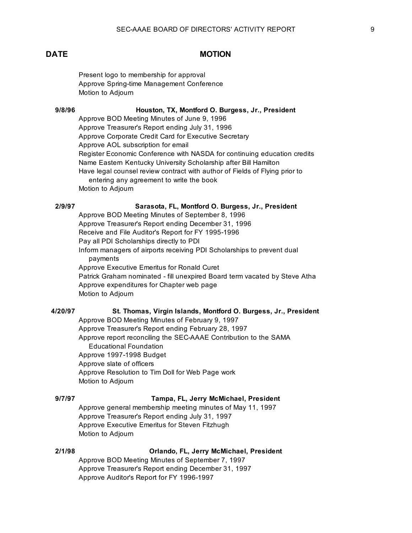Present logo to membership for approval Approve Spring-time Management Conference Motion to Adjourn

**9/8/96 Houston, TX, Montford O. Burgess, Jr., President**

Approve BOD Meeting Minutes of June 9, 1996

Approve Treasurer's Report ending July 31, 1996 Approve Corporate Credit Card for Executive Secretary Approve AOL subscription for email Register Economic Conference with NASDA for continuing education credits Name Eastern Kentucky University Scholarship after Bill Hamilton Have legal counsel review contract with author of Fields of Flying prior to entering any agreement to write the book Motion to Adjourn

### **2/9/97 Sarasota, FL, Montford O. Burgess, Jr., President**

Approve BOD Meeting Minutes of September 8, 1996 Approve Treasurer's Report ending December 31, 1996 Receive and File Auditor's Report for FY 1995-1996 Pay all PDI Scholarships directly to PDI Inform managers of airports receiving PDI Scholarships to prevent dual payments Approve Executive Emeritus for Ronald Curet Patrick Graham nominated - fill unexpired Board term vacated by Steve Atha Approve expenditures for Chapter web page Motion to Adjourn

### **4/20/97 St. Thomas, Virgin Islands, Montford O. Burgess, Jr., President**

Approve BOD Meeting Minutes of February 9, 1997 Approve Treasurer's Report ending February 28, 1997 Approve report reconciling the SEC-AAAE Contribution to the SAMA Educational Foundation Approve 1997-1998 Budget Approve slate of officers Approve Resolution to Tim Doll for Web Page work Motion to Adjourn

### **9/7/97 Tampa, FL, Jerry McMichael, President**

Approve general membership meeting minutes of May 11, 1997 Approve Treasurer's Report ending July 31, 1997 Approve Executive Emeritus for Steven Fitzhugh Motion to Adjourn

### **2/1/98 Orlando, FL, Jerry McMichael, President**

Approve BOD Meeting Minutes of September 7, 1997 Approve Treasurer's Report ending December 31, 1997 Approve Auditor's Report for FY 1996-1997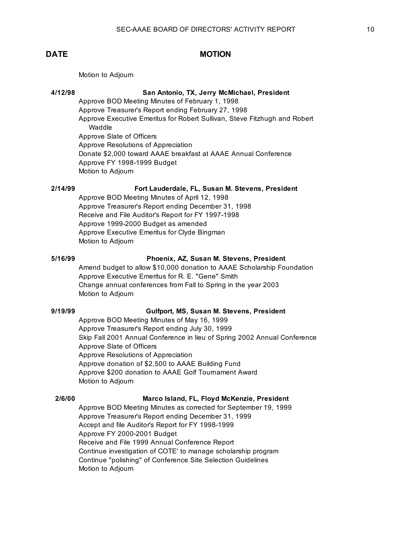Motion to Adjourn

### **4/12/98 San Antonio, TX, Jerry McMichael, President**

Approve BOD Meeting Minutes of February 1, 1998 Approve Treasurer's Report ending February 27, 1998 Approve Executive Emeritus for Robert Sullivan, Steve Fitzhugh and Robert Waddle Approve Slate of Officers Approve Resolutions of Appreciation Donate \$2,000 toward AAAE breakfast at AAAE Annual Conference Approve FY 1998-1999 Budget Motion to Adjourn

## **2/14/99 Fort Lauderdale, FL, Susan M. Stevens, President**

Approve BOD Meeting Minutes of April 12, 1998 Approve Treasurer's Report ending December 31, 1998 Receive and File Auditor's Report for FY 1997-1998 Approve 1999-2000 Budget as amended Approve Executive Emeritus for Clyde Bingman Motion to Adjourn

### **5/16/99 Phoenix, AZ, Susan M. Stevens, President**

Amend budget to allow \$10,000 donation to AAAE Scholarship Foundation Approve Executive Emeritus for R. E. "Gene" Smith Change annual conferences from Fall to Spring in the year 2003 Motion to Adjourn

### **9/19/99 Gulfport, MS, Susan M. Stevens, President**

Approve BOD Meeting Minutes of May 16, 1999 Approve Treasurer's Report ending July 30, 1999 Skip Fall 2001 Annual Conference in lieu of Spring 2002 Annual Conference Approve Slate of Officers Approve Resolutions of Appreciation Approve donation of \$2,500 to AAAE Building Fund Approve \$200 donation to AAAE Golf Tournament Award Motion to Adjourn

### **2/6/00 Marco Island, FL, Floyd McKenzie, President**

Approve BOD Meeting Minutes as corrected for September 19, 1999 Approve Treasurer's Report ending December 31, 1999 Accept and file Auditor's Report for FY 1998-1999 Approve FY 2000-2001 Budget Receive and File 1999 Annual Conference Report Continue investigation of COTE' to manage scholarship program Continue "polishing" of Conference Site Selection Guidelines Motion to Adjourn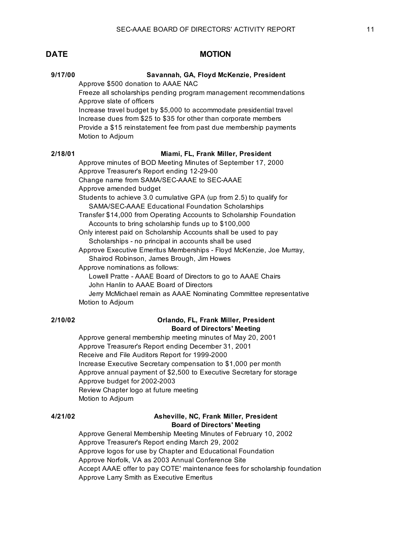# **9/17/00 Savannah, GA, Floyd McKenzie, President** Approve \$500 donation to AAAE NAC Freeze all scholarships pending program management recommendations Approve slate of officers Increase travel budget by \$5,000 to accommodate presidential travel Increase dues from \$25 to \$35 for other than corporate members Provide a \$15 reinstatement fee from past due membership payments Motion to Adjourn **2/18/01 Miami, FL, Frank Miller, President** Approve minutes of BOD Meeting Minutes of September 17, 2000 Approve Treasurer's Report ending 12-29-00 Change name from SAMA/SEC-AAAE to SEC-AAAE Approve amended budget Students to achieve 3.0 cumulative GPA (up from 2.5) to qualify for SAMA/SEC-AAAE Educational Foundation Scholarships Transfer \$14,000 from Operating Accounts to Scholarship Foundation

Accounts to bring scholarship funds up to \$100,000

Only interest paid on Scholarship Accounts shall be used to pay Scholarships - no principal in accounts shall be used

Approve Executive Emeritus Memberships - Floyd McKenzie, Joe Murray, Shairod Robinson, James Brough, Jim Howes

Approve nominations as follows: Lowell Pratte - AAAE Board of Directors to go to AAAE Chairs John Hanlin to AAAE Board of Directors Jerry McMichael remain as AAAE Nominating Committee representative

Motion to Adjourn

### **2/10/02 Orlando, FL, Frank Miller, President Board of Directors' Meeting**

Approve general membership meeting minutes of May 20, 2001 Approve Treasurer's Report ending December 31, 2001 Receive and File Auditors Report for 1999-2000 Increase Executive Secretary compensation to \$1,000 per month Approve annual payment of \$2,500 to Executive Secretary for storage Approve budget for 2002-2003 Review Chapter logo at future meeting Motion to Adjourn

## **4/21/02 Asheville, NC, Frank Miller, President Board of Directors' Meeting**

Approve General Membership Meeting Minutes of February 10, 2002 Approve Treasurer's Report ending March 29, 2002 Approve logos for use by Chapter and Educational Foundation Approve Norfolk, VA as 2003 Annual Conference Site Accept AAAE offer to pay COTE' maintenance fees for scholarship foundation Approve Larry Smith as Executive Emeritus

### **DATE MOTION**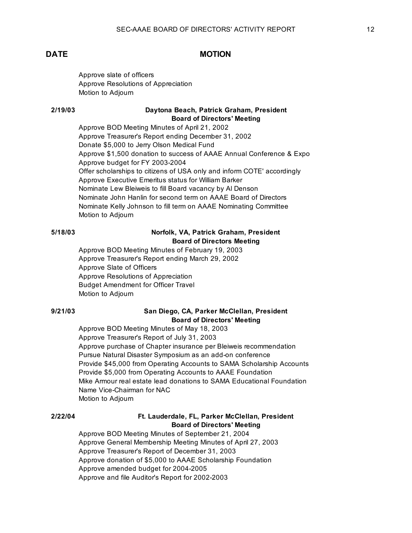Approve slate of officers Approve Resolutions of Appreciation Motion to Adjourn

### **2/19/03 Daytona Beach, Patrick Graham, President Board of Directors' Meeting**

Approve BOD Meeting Minutes of April 21, 2002 Approve Treasurer's Report ending December 31, 2002 Donate \$5,000 to Jerry Olson Medical Fund Approve \$1,500 donation to success of AAAE Annual Conference & Expo Approve budget for FY 2003-2004 Offer scholarships to citizens of USA only and inform COTE' accordingly Approve Executive Emeritus status for William Barker Nominate Lew Bleiweis to fill Board vacancy by Al Denson Nominate John Hanlin for second term on AAAE Board of Directors Nominate Kelly Johnson to fill term on AAAE Nominating Committee Motion to Adjourn

## **5/18/03 Norfolk, VA, Patrick Graham, President Board of Directors Meeting**

Approve BOD Meeting Minutes of February 19, 2003 Approve Treasurer's Report ending March 29, 2002 Approve Slate of Officers Approve Resolutions of Appreciation Budget Amendment for Officer Travel Motion to Adjourn

## **9/21/03 San Diego, CA, Parker McClellan, President Board of Directors' Meeting**

Approve BOD Meeting Minutes of May 18, 2003 Approve Treasurer's Report of July 31, 2003 Approve purchase of Chapter insurance per Bleiweis recommendation Pursue Natural Disaster Symposium as an add-on conference Provide \$45,000 from Operating Accounts to SAMA Scholarship Accounts Provide \$5,000 from Operating Accounts to AAAE Foundation Mike Armour real estate lead donations to SAMA Educational Foundation Name Vice-Chairman for NAC Motion to Adjourn

## **2/22/04 Ft. Lauderdale, FL, Parker McClellan, President Board of Directors' Meeting**

Approve BOD Meeting Minutes of September 21, 2004 Approve General Membership Meeting Minutes of April 27, 2003 Approve Treasurer's Report of December 31, 2003 Approve donation of \$5,000 to AAAE Scholarship Foundation Approve amended budget for 2004-2005 Approve and file Auditor's Report for 2002-2003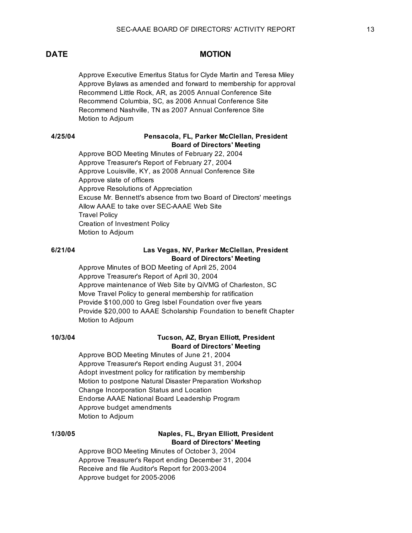Approve Executive Emeritus Status for Clyde Martin and Teresa Miley Approve Bylaws as amended and forward to membership for approval Recommend Little Rock, AR, as 2005 Annual Conference Site Recommend Columbia, SC, as 2006 Annual Conference Site Recommend Nashville, TN as 2007 Annual Conference Site Motion to Adjourn

### **4/25/04 Pensacola, FL, Parker McClellan, President Board of Directors' Meeting**

Approve BOD Meeting Minutes of February 22, 2004 Approve Treasurer's Report of February 27, 2004 Approve Louisville, KY, as 2008 Annual Conference Site Approve slate of officers Approve Resolutions of Appreciation Excuse Mr. Bennett's absence from two Board of Directors' meetings Allow AAAE to take over SEC-AAAE Web Site Travel Policy Creation of Investment Policy Motion to Adjourn

### **6/21/04 Las Vegas, NV, Parker McClellan, President Board of Directors' Meeting**

Approve Minutes of BOD Meeting of April 25, 2004 Approve Treasurer's Report of April 30, 2004 Approve maintenance of Web Site by QiVMG of Charleston, SC Move Travel Policy to general membership for ratification Provide \$100,000 to Greg Isbel Foundation over five years Provide \$20,000 to AAAE Scholarship Foundation to benefit Chapter Motion to Adjourn

## **10/3/04 Tucson, AZ, Bryan Elliott, President Board of Directors' Meeting**

Approve BOD Meeting Minutes of June 21, 2004 Approve Treasurer's Report ending August 31, 2004 Adopt investment policy for ratification by membership Motion to postpone Natural Disaster Preparation Workshop Change Incorporation Status and Location Endorse AAAE National Board Leadership Program Approve budget amendments Motion to Adjourn

### **1/30/05 Naples, FL, Bryan Elliott, President Board of Directors' Meeting**

Approve BOD Meeting Minutes of October 3, 2004 Approve Treasurer's Report ending December 31, 2004 Receive and file Auditor's Report for 2003-2004 Approve budget for 2005-2006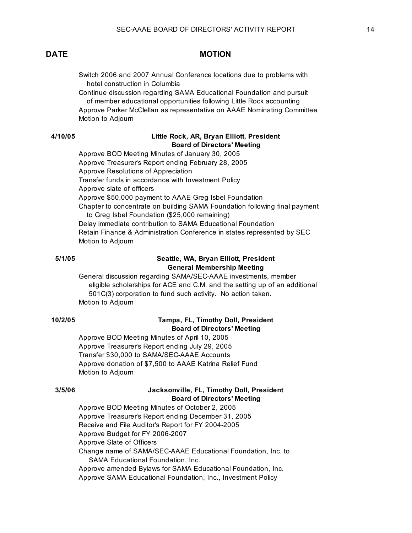Switch 2006 and 2007 Annual Conference locations due to problems with hotel construction in Columbia

Continue discussion regarding SAMA Educational Foundation and pursuit of member educational opportunities following Little Rock accounting Approve Parker McClellan as representative on AAAE Nominating Committee Motion to Adjourn

### **4/10/05 Little Rock, AR, Bryan Elliott, President Board of Directors' Meeting**

Approve BOD Meeting Minutes of January 30, 2005 Approve Treasurer's Report ending February 28, 2005 Approve Resolutions of Appreciation Transfer funds in accordance with Investment Policy Approve slate of officers Approve \$50,000 payment to AAAE Greg Isbel Foundation Chapter to concentrate on building SAMA Foundation following final payment to Greg Isbel Foundation (\$25,000 remaining) Delay immediate contribution to SAMA Educational Foundation Retain Finance & Administration Conference in states represented by SEC Motion to Adjourn

### **5/1/05 Seattle, WA, Bryan Elliott, President General Membership Meeting**

General discussion regarding SAMA/SEC-AAAE investments, member eligible scholarships for ACE and C.M. and the setting up of an additional 501C(3) corporation to fund such activity. No action taken. Motion to Adjourn

### **10/2/05 Tampa, FL, Timothy Doll, President Board of Directors' Meeting**

Approve BOD Meeting Minutes of April 10, 2005 Approve Treasurer's Report ending July 29, 2005 Transfer \$30,000 to SAMA/SEC-AAAE Accounts Approve donation of \$7,500 to AAAE Katrina Relief Fund Motion to Adjourn

### **3/5/06 Jacksonville, FL, Timothy Doll, President Board of Directors' Meeting**

Approve BOD Meeting Minutes of October 2, 2005 Approve Treasurer's Report ending December 31, 2005 Receive and File Auditor's Report for FY 2004-2005 Approve Budget for FY 2006-2007 Approve Slate of Officers Change name of SAMA/SEC-AAAE Educational Foundation, Inc. to SAMA Educational Foundation, Inc. Approve amended Bylaws for SAMA Educational Foundation, Inc. Approve SAMA Educational Foundation, Inc., Investment Policy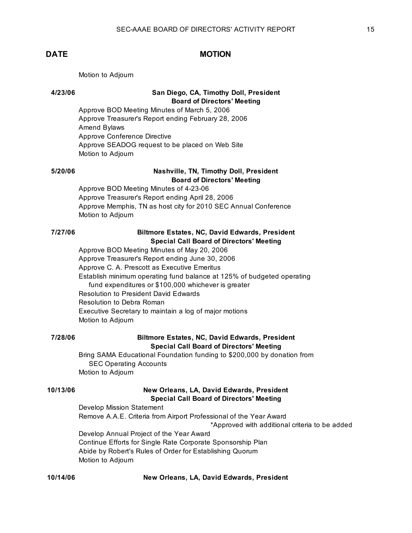Motion to Adjourn

## **4/23/06 San Diego, CA, Timothy Doll, President Board of Directors' Meeting**

Approve BOD Meeting Minutes of March 5, 2006 Approve Treasurer's Report ending February 28, 2006 Amend Bylaws Approve Conference Directive Approve SEADOG request to be placed on Web Site Motion to Adjourn

## **5/20/06 Nashville, TN, Timothy Doll, President Board of Directors' Meeting**

Approve BOD Meeting Minutes of 4-23-06 Approve Treasurer's Report ending April 28, 2006 Approve Memphis, TN as host city for 2010 SEC Annual Conference Motion to Adjourn

## **7/27/06 Biltmore Estates, NC, David Edwards, President Special Call Board of Directors' Meeting**

Approve BOD Meeting Minutes of May 20, 2006 Approve Treasurer's Report ending June 30, 2006 Approve C. A. Prescott as Executive Emeritus Establish minimum operating fund balance at 125% of budgeted operating fund expenditures or \$100,000 whichever is greater Resolution to President David Edwards Resolution to Debra Roman Executive Secretary to maintain a log of major motions Motion to Adjourn

### **7/28/06 Biltmore Estates, NC, David Edwards, President Special Call Board of Directors' Meeting**

Bring SAMA Educational Foundation funding to \$200,000 by donation from SEC Operating Accounts Motion to Adjourn

### **10/13/06 New Orleans, LA, David Edwards, President Special Call Board of Directors' Meeting**

Develop Mission Statement Remove A.A.E. Criteria from Airport Professional of the Year Award \*Approved with additional criteria to be added Develop Annual Project of the Year Award Continue Efforts for Single Rate Corporate Sponsorship Plan Abide by Robert's Rules of Order for Establishing Quorum Motion to Adjourn

### **10/14/06 New Orleans, LA, David Edwards, President**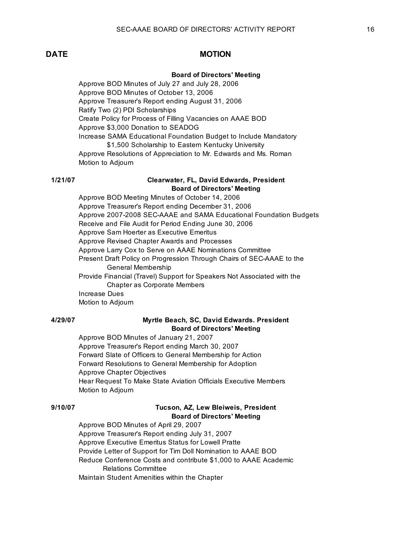### **Board of Directors' Meeting**

Approve BOD Minutes of July 27 and July 28, 2006 Approve BOD Minutes of October 13, 2006 Approve Treasurer's Report ending August 31, 2006 Ratify Two (2) PDI Scholarships Create Policy for Process of Filling Vacancies on AAAE BOD Approve \$3,000 Donation to SEADOG Increase SAMA Educational Foundation Budget to Include Mandatory \$1,500 Scholarship to Eastern Kentucky University Approve Resolutions of Appreciation to Mr. Edwards and Ms. Roman Motion to Adjourn

### **1/21/07 Clearwater, FL, David Edwards, President Board of Directors' Meeting**

Approve BOD Meeting Minutes of October 14, 2006 Approve Treasurer's Report ending December 31, 2006 Approve 2007-2008 SEC-AAAE and SAMA Educational Foundation Budgets Receive and File Audit for Period Ending June 30, 2006 Approve Sam Hoerter as Executive Emeritus Approve Revised Chapter Awards and Processes Approve Larry Cox to Serve on AAAE Nominations Committee Present Draft Policy on Progression Through Chairs of SEC-AAAE to the General Membership Provide Financial (Travel) Support for Speakers Not Associated with the Chapter as Corporate Members Increase Dues

Motion to Adjourn

### **4/29/07 Myrtle Beach, SC, David Edwards. President Board of Directors' Meeting**

Approve BOD Minutes of January 21, 2007 Approve Treasurer's Report ending March 30, 2007 Forward Slate of Officers to General Membership for Action Forward Resolutions to General Membership for Adoption Approve Chapter Objectives Hear Request To Make State Aviation Officials Executive Members Motion to Adjourn

### **9/10/07 Tucson, AZ, Lew Bleiweis, President Board of Directors' Meeting**

Approve BOD Minutes of April 29, 2007 Approve Treasurer's Report ending July 31, 2007 Approve Executive Emeritus Status for Lowell Pratte Provide Letter of Support for Tim Doll Nomination to AAAE BOD Reduce Conference Costs and contribute \$1,000 to AAAE Academic Relations Committee Maintain Student Amenities within the Chapter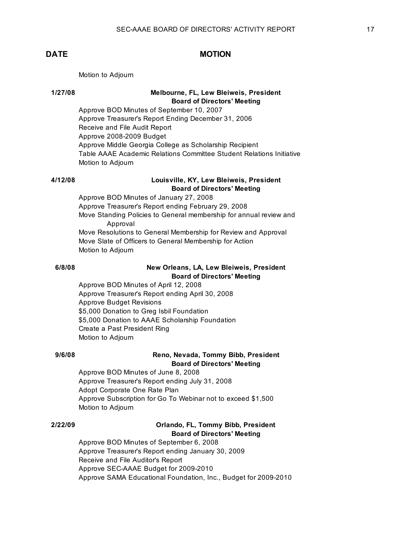Motion to Adjourn

## **1/27/08 Melbourne, FL, Lew Bleiweis, President Board of Directors' Meeting**

Approve BOD Minutes of September 10, 2007 Approve Treasurer's Report Ending December 31, 2006 Receive and File Audit Report Approve 2008-2009 Budget Approve Middle Georgia College as Scholarship Recipient Table AAAE Academic Relations Committee Student Relations Initiative Motion to Adjourn

## **4/12/08 Louisville, KY, Lew Bleiweis, President Board of Directors' Meeting**

Approve BOD Minutes of January 27, 2008 Approve Treasurer's Report ending February 29, 2008 Move Standing Policies to General membership for annual review and Approval Move Resolutions to General Membership for Review and Approval Move Slate of Officers to General Membership for Action Motion to Adjourn

## **6/8/08 New Orleans, LA, Lew Bleiweis, President Board of Directors' Meeting**

Approve BOD Minutes of April 12, 2008 Approve Treasurer's Report ending April 30, 2008 Approve Budget Revisions \$5,000 Donation to Greg Isbil Foundation \$5,000 Donation to AAAE Scholarship Foundation Create a Past President Ring Motion to Adjourn

### **9/6/08 Reno, Nevada, Tommy Bibb, President Board of Directors' Meeting**

Approve BOD Minutes of June 8, 2008 Approve Treasurer's Report ending July 31, 2008 Adopt Corporate One Rate Plan Approve Subscription for Go To Webinar not to exceed \$1,500 Motion to Adjourn

## **2/22/09 Orlando, FL, Tommy Bibb, President Board of Directors' Meeting**

Approve BOD Minutes of September 6, 2008 Approve Treasurer's Report ending January 30, 2009 Receive and File Auditor's Report Approve SEC-AAAE Budget for 2009-2010 Approve SAMA Educational Foundation, Inc., Budget for 2009-2010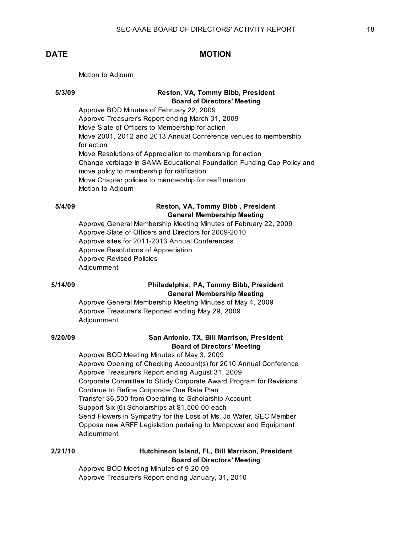Motion to Adjourn

## **5/3/09 Reston, VA, Tommy Bibb, President Board of Directors' Meeting**

Approve BOD Minutes of February 22, 2009 Approve Treasurer's Report ending March 31, 2009 Move Slate of Officers to Membership for action Move 2001, 2012 and 2013 Annual Conference venues to membership for action Move Resolutions of Appreciation to membership for action Change verbiage in SAMA Educational Foundation Funding Cap Policy and move policy to membership for ratification Move Chapter policies to membership for reaffirmation Motion to Adjourn

### **5/4/09 Reston, VA, Tommy Bibb , President General Membership Meeting**

Approve General Membership Meeting Minutes of February 22, 2009 Approve Slate of Officers and Directors for 2009-2010 Approve sites for 2011-2013 Annual Conferences Approve Resolutions of Appreciation Approve Revised Policies Adjournment

## **5/14/09 Philadelphia, PA, Tommy Bibb, President General Membership Meeting**

Approve General Membership Meeting Minutes of May 4, 2009 Approve Treasurer's Reported ending May 29, 2009 Adjournment

## **9/20/09 San Antonio, TX, Bill Marrison, President Board of Directors' Meeting**

Approve BOD Meeting Minutes of May 3, 2009 Approve Opening of Checking Account(s) for 2010 Annual Conference Approve Treasurer's Report ending August 31, 2009 Corporate Committee to Study Corporate Award Program for Revisions Continue to Refine Corporate One Rate Plan Transfer \$6,500 from Operating to Scholarship Account Support Six (6) Scholarships at \$1,500.00 each Send Flowers in Sympathy for the Loss of Ms. Jo Wafer, SEC Member Oppose new ARFF Legislation pertaiing to Manpower and Equipment Adjournment

### **2/21/10 Hutchinson Island, FL, Bill Marrison, President Board of Directors' Meeting**

Approve BOD Meeting Minutes of 9-20-09 Approve Treasurer's Report ending January, 31, 2010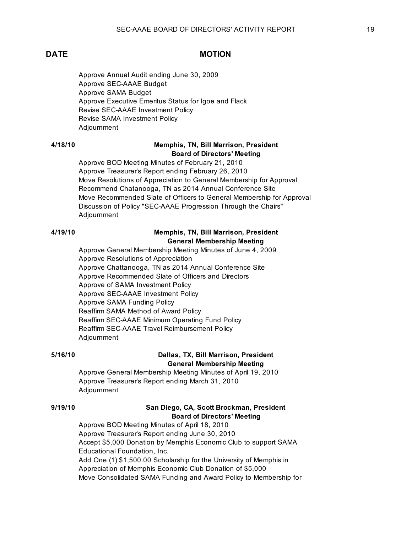Approve Annual Audit ending June 30, 2009 Approve SEC-AAAE Budget Approve SAMA Budget Approve Executive Emeritus Status for Igoe and Flack Revise SEC-AAAE Investment Policy Revise SAMA Investment Policy Adjournment

## **4/18/10 Memphis, TN, Bill Marrison, President Board of Directors' Meeting**

Approve BOD Meeting Minutes of February 21, 2010 Approve Treasurer's Report ending February 26, 2010 Move Resolutions of Appreciation to General Membership for Approval Recommend Chatanooga, TN as 2014 Annual Conference Site Move Recommended Slate of Officers to General Membership for Approval Discussion of Policy "SEC-AAAE Progression Through the Chairs" Adjournment

## **4/19/10 Memphis, TN, Bill Marrison, President General Membership Meeting**

Approve General Membership Meeting Minutes of June 4, 2009 Approve Resolutions of Appreciation Approve Chattanooga, TN as 2014 Annual Conference Site Approve Recommended Slate of Officers and Directors Approve of SAMA Investment Policy Approve SEC-AAAE Investment Policy Approve SAMA Funding Policy Reaffirm SAMA Method of Award Policy Reaffirm SEC-AAAE Minimum Operating Fund Policy Reaffirm SEC-AAAE Travel Reimbursement Policy Adjournment

## **5/16/10 Dallas, TX, Bill Marrison, President General Membership Meeting**

Approve General Membership Meeting Minutes of April 19, 2010 Approve Treasurer's Report ending March 31, 2010 Adjournment

## **9/19/10 San Diego, CA, Scott Brockman, President Board of Directors' Meeting**

Approve BOD Meeting Minutes of April 18, 2010 Approve Treasurer's Report ending June 30, 2010 Accept \$5,000 Donation by Memphis Economic Club to support SAMA Educational Foundation, Inc. Add One (1) \$1,500.00 Scholarship for the University of Memphis in Appreciation of Memphis Economic Club Donation of \$5,000 Move Consolidated SAMA Funding and Award Policy to Membership for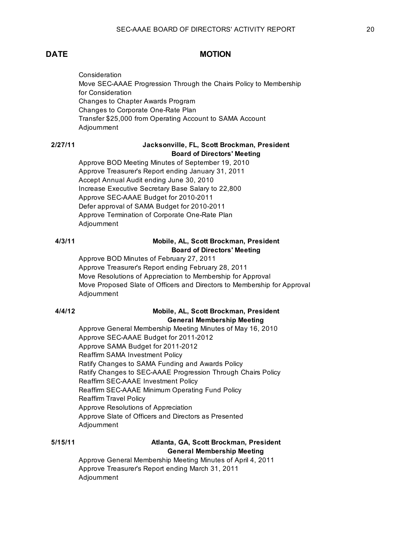**Consideration** Move SEC-AAAE Progression Through the Chairs Policy to Membership for Consideration Changes to Chapter Awards Program Changes to Corporate One-Rate Plan Transfer \$25,000 from Operating Account to SAMA Account Adjournment

### **2/27/11 Jacksonville, FL, Scott Brockman, President Board of Directors' Meeting**

Approve BOD Meeting Minutes of September 19, 2010 Approve Treasurer's Report ending January 31, 2011 Accept Annual Audit ending June 30, 2010 Increase Executive Secretary Base Salary to 22,800 Approve SEC-AAAE Budget for 2010-2011 Defer approval of SAMA Budget for 2010-2011 Approve Termination of Corporate One-Rate Plan Adjournment

## **4/3/11 Mobile, AL, Scott Brockman, President Board of Directors' Meeting**

Approve BOD Minutes of February 27, 2011 Approve Treasurer's Report ending February 28, 2011 Move Resolutions of Appreciation to Membership for Approval Move Proposed Slate of Officers and Directors to Membership for Approval Adjournment

## **4/4/12 Mobile, AL, Scott Brockman, President General Membership Meeting**

Approve General Membership Meeting Minutes of May 16, 2010 Approve SEC-AAAE Budget for 2011-2012 Approve SAMA Budget for 2011-2012 Reaffirm SAMA Investment Policy Ratify Changes to SAMA Funding and Awards Policy Ratify Changes to SEC-AAAE Progression Through Chairs Policy Reaffirm SEC-AAAE Investment Policy Reaffirm SEC-AAAE Minimum Operating Fund Policy Reaffirm Travel Policy Approve Resolutions of Appreciation Approve Slate of Officers and Directors as Presented Adjournment

### **5/15/11 Atlanta, GA, Scott Brockman, President General Membership Meeting**

Approve General Membership Meeting Minutes of April 4, 2011 Approve Treasurer's Report ending March 31, 2011 Adjournment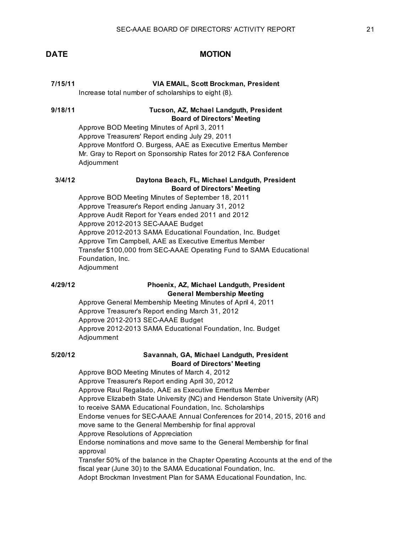### **7/15/11 VIA EMAIL, Scott Brockman, President**

Increase total number of scholarships to eight (8).

### **9/18/11 Tucson, AZ, Mchael Landguth, President Board of Directors' Meeting**

Approve BOD Meeting Minutes of April 3, 2011 Approve Treasurers' Report ending July 29, 2011 Approve Montford O. Burgess, AAE as Executive Emeritus Member Mr. Gray to Report on Sponsorship Rates for 2012 F&A Conference Adjournment

## **3/4/12 Daytona Beach, FL, Michael Landguth, President Board of Directors' Meeting**

Approve BOD Meeting Minutes of September 18, 2011 Approve Treasurer's Report ending January 31, 2012 Approve Audit Report for Years ended 2011 and 2012 Approve 2012-2013 SEC-AAAE Budget Approve 2012-2013 SAMA Educational Foundation, Inc. Budget Approve Tim Campbell, AAE as Executive Emeritus Member Transfer \$100,000 from SEC-AAAE Operating Fund to SAMA Educational Foundation, Inc. Adjournment

## **4/29/12 Phoenix, AZ, Michael Landguth, President General Membership Meeting**

Approve General Membership Meeting Minutes of April 4, 2011 Approve Treasurer's Report ending March 31, 2012 Approve 2012-2013 SEC-AAAE Budget Approve 2012-2013 SAMA Educational Foundation, Inc. Budget Adjournment

### **5/20/12 Savannah, GA, Michael Landguth, President Board of Directors' Meeting**

Approve BOD Meeting Minutes of March 4, 2012 Approve Treasurer's Report ending April 30, 2012 Approve Raul Regalado, AAE as Executive Emeritus Member Approve Elizabeth State University (NC) and Henderson State University (AR) to receive SAMA Educational Foundation, Inc. Scholarships Endorse venues for SEC-AAAE Annual Conferences for 2014, 2015, 2016 and move same to the General Membership for final approval Approve Resolutions of Appreciation Endorse nominations and move same to the General Membership for final approval Transfer 50% of the balance in the Chapter Operating Accounts at the end of the fiscal year (June 30) to the SAMA Educational Foundation, Inc. Adopt Brockman Investment Plan for SAMA Educational Foundation, Inc.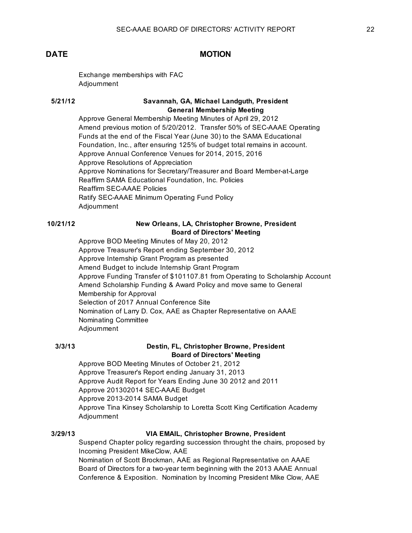Exchange memberships with FAC Adjournment

### **5/21/12 Savannah, GA, Michael Landguth, President General Membership Meeting**

Approve General Membership Meeting Minutes of April 29, 2012 Amend previous motion of 5/20/2012. Transfer 50% of SEC-AAAE Operating Funds at the end of the Fiscal Year (June 30) to the SAMA Educational Foundation, Inc., after ensuring 125% of budget total remains in account. Approve Annual Conference Venues for 2014, 2015, 2016 Approve Resolutions of Appreciation Approve Nominations for Secretary/Treasurer and Board Member-at-Large Reaffirm SAMA Educational Foundation, Inc. Policies Reaffirm SEC-AAAE Policies Ratify SEC-AAAE Minimum Operating Fund Policy Adjournment

### **10/21/12 New Orleans, LA, Christopher Browne, President Board of Directors' Meeting**

Approve BOD Meeting Minutes of May 20, 2012 Approve Treasurer's Report ending September 30, 2012 Approve Internship Grant Program as presented Amend Budget to include Internship Grant Program Approve Funding Transfer of \$101107.81 from Operating to Scholarship Account Amend Scholarship Funding & Award Policy and move same to General Membership for Approval Selection of 2017 Annual Conference Site Nomination of Larry D. Cox, AAE as Chapter Representative on AAAE Nominating Committee Adjournment

## **3/3/13 Destin, FL, Christopher Browne, President Board of Directors' Meeting**

Approve BOD Meeting Minutes of October 21, 2012 Approve Treasurer's Report ending January 31, 2013 Approve Audit Report for Years Ending June 30 2012 and 2011 Approve 201302014 SEC-AAAE Budget Approve 2013-2014 SAMA Budget Approve Tina Kinsey Scholarship to Loretta Scott King Certification Academy Adjournment

### **3/29/13 VIA EMAIL, Christopher Browne, President**

Suspend Chapter policy regarding succession throught the chairs, proposed by Incoming President MikeClow, AAE Nomination of Scott Brockman, AAE as Regional Representative on AAAE Board of Directors for a two-year term beginning with the 2013 AAAE Annual Conference & Exposition. Nomination by Incoming President Mike Clow, AAE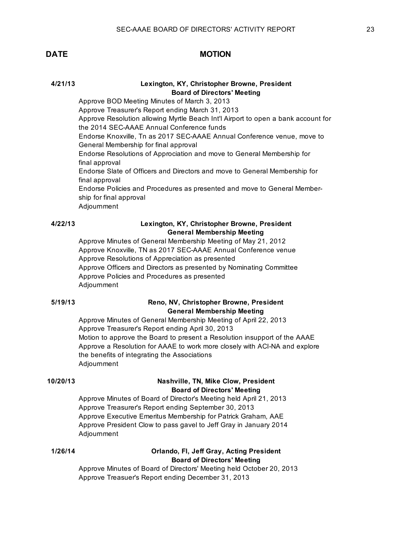## **4/21/13 Lexington, KY, Christopher Browne, President Board of Directors' Meeting**

Approve BOD Meeting Minutes of March 3, 2013 Approve Treasurer's Report ending March 31, 2013 Approve Resolution allowing Myrtle Beach Int'l Airport to open a bank account for the 2014 SEC-AAAE Annual Conference funds Endorse Knoxville, Tn as 2017 SEC-AAAE Annual Conference venue, move to General Membership for final approval Endorse Resolutions of Approciation and move to General Membership for final approval Endorse Slate of Officers and Directors and move to General Membership for final approval Endorse Policies and Procedures as presented and move to General Membership for final approval Adjournment

### Lexington, KY, Christopher Browne, President **General Membership Meeting**

Approve Minutes of General Membership Meeting of May 21, 2012 Approve Knoxville, TN as 2017 SEC-AAAE Annual Conference venue Approve Resolutions of Appreciation as presented Approve Officers and Directors as presented by Nominating Committee Approve Policies and Procedures as presented Adjournment

### **5/19/13 Reno, NV, Christopher Browne, President General Membership Meeting**

Approve Minutes of General Membership Meeting of April 22, 2013 Approve Treasurer's Report ending April 30, 2013 Motion to approve the Board to present a Resolution insupport of the AAAE Approve a Resolution for AAAE to work more closely with ACI-NA and explore the benefits of integrating the Associations Adjournment

## **10/20/13 Nashville, TN, Mike Clow, President Board of Directors' Meeting**

Approve Minutes of Board of Director's Meeting held April 21, 2013 Approve Treasurer's Report ending September 30, 2013 Approve Executive Emeritus Membership for Patrick Graham, AAE Approve President Clow to pass gavel to Jeff Gray in January 2014 Adjournment

### **1/26/14 Orlando, Fl, Jeff Gray, Acting President Board of Directors' Meeting**

Approve Minutes of Board of Directors' Meeting held October 20, 2013 Approve Treasuer's Report ending December 31, 2013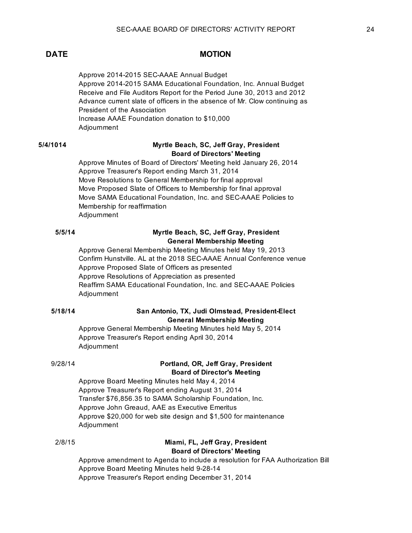Approve 2014-2015 SEC-AAAE Annual Budget Approve 2014-2015 SAMA Educational Foundation, Inc. Annual Budget Receive and File Auditors Report for the Period June 30, 2013 and 2012 Advance current slate of officers in the absence of Mr. Clow continuing as President of the Association Increase AAAE Foundation donation to \$10,000 Adjournment

## **5/4/1014 Myrtle Beach, SC, Jeff Gray, President Board of Directors' Meeting**

Approve Minutes of Board of Directors' Meeting held January 26, 2014 Approve Treasurer's Report ending March 31, 2014 Move Resolutions to General Membership for final approval Move Proposed Slate of Officers to Membership for final approval Move SAMA Educational Foundation, Inc. and SEC-AAAE Policies to Membership for reaffirmation Adjournment

## **5/5/14 Myrtle Beach, SC, Jeff Gray, President General Membership Meeting**

Approve General Membership Meeting Minutes held May 19, 2013 Confirm Hunstville. AL at the 2018 SEC-AAAE Annual Conference venue Approve Proposed Slate of Officers as presented Approve Resolutions of Appreciation as presented Reaffirm SAMA Educational Foundation, Inc. and SEC-AAAE Policies Adjournment

### **5/18/14 San Antonio, TX, Judi Olmstead, President-Elect General Membership Meeting**

Approve General Membership Meeting Minutes held May 5, 2014 Approve Treasurer's Report ending April 30, 2014 Adjournment

## 9/28/14 **Portland, OR, Jeff Gray, President Board of Director's Meeting**

Approve Board Meeting Minutes held May 4, 2014 Approve Treasurer's Report ending August 31, 2014 Transfer \$76,856.35 to SAMA Scholarship Foundation, Inc. Approve John Greaud, AAE as Executive Emeritus Approve \$20,000 for web site design and \$1,500 for maintenance Adjournment

### 2/8/15 **Miami, FL, Jeff Gray, President Board of Directors' Meeting**

Approve amendment to Agenda to include a resolution for FAA Authorization Bill Approve Board Meeting Minutes held 9-28-14 Approve Treasurer's Report ending December 31, 2014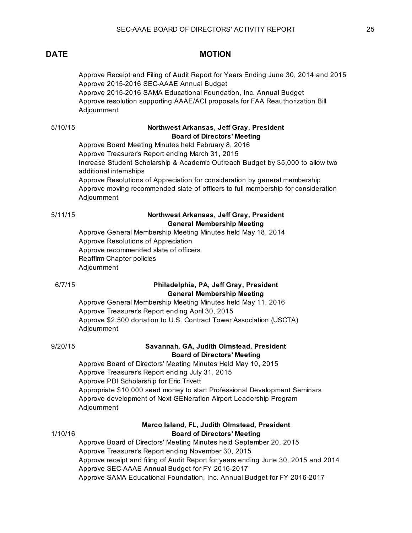Approve Receipt and Filing of Audit Report for Years Ending June 30, 2014 and 2015 Approve 2015-2016 SEC-AAAE Annual Budget Approve 2015-2016 SAMA Educational Foundation, Inc. Annual Budget Approve resolution supporting AAAE/ACI proposals for FAA Reauthorization Bill Adjournment

## 5/10/15 **Northwest Arkansas, Jeff Gray, President Board of Directors' Meeting**

Approve Board Meeting Minutes held February 8, 2016 Approve Treasurer's Report ending March 31, 2015 Increase Student Scholarship & Academic Outreach Budget by \$5,000 to allow two additional internships Approve Resolutions of Appreciation for consideration by general membership Approve moving recommended slate of officers to full membership for consideration Adjournment

## 5/11/15 **Northwest Arkansas, Jeff Gray, President General Membership Meeting**

Approve General Membership Meeting Minutes held May 18, 2014 Approve Resolutions of Appreciation Approve recommended slate of officers Reaffirm Chapter policies Adjournment

## 6/7/15 **Philadelphia, PA, Jeff Gray, President General Membership Meeting**

Approve General Membership Meeting Minutes held May 11, 2016 Approve Treasurer's Report ending April 30, 2015 Approve \$2,500 donation to U.S. Contract Tower Association (USCTA) Adjournment

## 9/20/15 **Savannah, GA, Judith Olmstead, President Board of Directors' Meeting**

Approve Board of Directors' Meeting Minutes Held May 10, 2015 Approve Treasurer's Report ending July 31, 2015 Approve PDI Scholarship for Eric Trivett Appropriate \$10,000 seed money to start Professional Development Seminars Approve development of Next GENeration Airport Leadership Program Adjournment

### **Marco Island, FL, Judith Olmstead, President** 1/10/16 **Board of Directors' Meeting**

Approve Board of Directors' Meeting Minutes held September 20, 2015 Approve Treasurer's Report ending November 30, 2015 Approve receipt and filing of Audit Report for years ending June 30, 2015 and 2014 Approve SEC-AAAE Annual Budget for FY 2016-2017 Approve SAMA Educational Foundation, Inc. Annual Budget for FY 2016-2017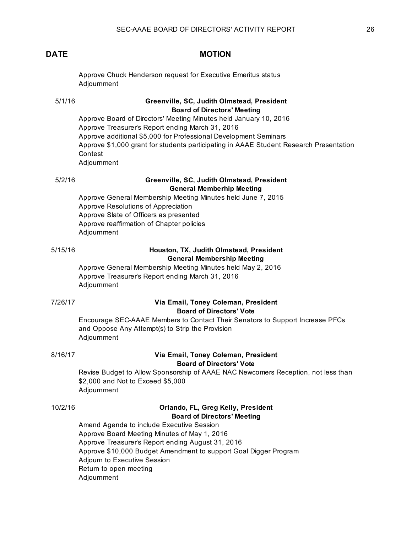Approve Chuck Henderson request for Executive Emeritus status Adjournment

### 5/1/16 **Greenville, SC, Judith Olmstead, President Board of Directors' Meeting**

Approve Board of Directors' Meeting Minutes held January 10, 2016 Approve Treasurer's Report ending March 31, 2016 Approve additional \$5,000 for Professional Development Seminars Approve \$1,000 grant for students participating in AAAE Student Research Presentation Contest Adjournment

## 5/2/16 **Greenville, SC, Judith Olmstead, President General Memberhip Meeting**

Approve General Membership Meeting Minutes held June 7, 2015 Approve Resolutions of Appreciation Approve Slate of Officers as presented Approve reaffirmation of Chapter policies Adjournment

### 5/15/16 **Houston, TX, Judith Olmstead, President General Membership Meeting**

Approve General Membership Meeting Minutes held May 2, 2016 Approve Treasurer's Report ending March 31, 2016 Adjournment

### 7/26/17 **Via Email, Toney Coleman, President Board of Directors' Vote**

Encourage SEC-AAAE Members to Contact Their Senators to Support Increase PFCs and Oppose Any Attempt(s) to Strip the Provision Adjournment

### 8/16/17 **Via Email, Toney Coleman, President Board of Directors' Vote**

Revise Budget to Allow Sponsorship of AAAE NAC Newcomers Reception, not less than \$2,000 and Not to Exceed \$5,000 Adjournment

## 10/2/16 **Orlando, FL, Greg Kelly, President Board of Directors' Meeting**

Amend Agenda to include Executive Session Approve Board Meeting Minutes of May 1, 2016 Approve Treasurer's Report ending August 31, 2016 Approve \$10,000 Budget Amendment to support Goal Digger Program Adjourn to Executive Session Return to open meeting

Adjournment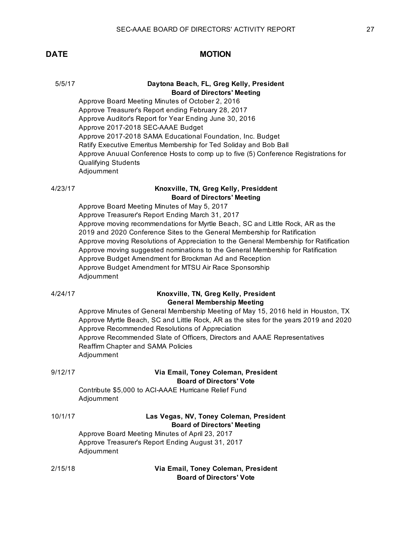### 5/5/17 **Daytona Beach, FL, Greg Kelly, President Board of Directors' Meeting**

Approve Board Meeting Minutes of October 2, 2016 Approve Treasurer's Report ending February 28, 2017 Approve Auditor's Report for Year Ending June 30, 2016 Approve 2017-2018 SEC-AAAE Budget Approve 2017-2018 SAMA Educational Foundation, Inc. Budget Ratify Executive Emeritus Membership for Ted Soliday and Bob Ball Approve Anuual Conference Hosts to comp up to five (5) Conference Registrations for Qualifying Students Adjournment

## 4/23/17 **Knoxville, TN, Greg Kelly, Presiddent Board of Directors' Meeting**

Approve Board Meeting Minutes of May 5, 2017 Approve Treasurer's Report Ending March 31, 2017 Approve moving recommendations for Myrtle Beach, SC and Little Rock, AR as the 2019 and 2020 Conference Sites to the General Membership for Ratification Approve moving Resolutions of Appreciation to the General Membership for Ratification Approve moving suggested nominations to the General Membership for Ratification Approve Budget Amendment for Brockman Ad and Reception Approve Budget Amendment for MTSU Air Race Sponsorship Adjournment

| 4/24/17 |
|---------|
|---------|

### 4/24/17 **Knoxville, TN, Greg Kelly, President General Membership Meeting**

Approve Minutes of General Membership Meeting of May 15, 2016 held in Houston, TX Approve Myrtle Beach, SC and Little Rock, AR as the sites for the years 2019 and 2020 Approve Recommended Resolutions of Appreciation Approve Recommended Slate of Officers, Directors and AAAE Representatives Reaffirm Chapter and SAMA Policies Adjournment

## 9/12/17 **Via Email, Toney Coleman, President Board of Directors' Vote**

Contribute \$5,000 to ACI-AAAE Hurricane Relief Fund Adjournment

## 10/1/17 **Las Vegas, NV, Toney Coleman, President Board of Directors' Meeting**

Approve Board Meeting Minutes of April 23, 2017 Approve Treasurer's Report Ending August 31, 2017 Adjournment

### 2/15/18 **Via Email, Toney Coleman, President Board of Directors' Vote**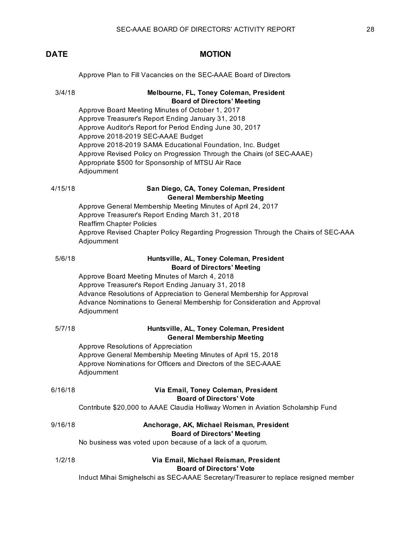Approve Plan to Fill Vacancies on the SEC-AAAE Board of Directors

## 3/4/18 **Melbourne, FL, Toney Coleman, President Board of Directors' Meeting**

Approve Board Meeting Minutes of October 1, 2017 Approve Treasurer's Report Ending January 31, 2018 Approve Auditor's Report for Period Ending June 30, 2017 Approve 2018-2019 SEC-AAAE Budget Approve 2018-2019 SAMA Educational Foundation, Inc. Budget Approve Revised Policy on Progression Through the Chairs (of SEC-AAAE) Appropriate \$500 for Sponsorship of MTSU Air Race Adjournment

## 4/15/18 **San Diego, CA, Toney Coleman, President General Membership Meeting**

Approve General Membership Meeting Minutes of April 24, 2017 Approve Treasurer's Report Ending March 31, 2018 Reaffirm Chapter Policies Approve Revised Chapter Policy Regarding Progression Through the Chairs of SEC-AAAE Adjournment

## 5/6/18 **Huntsville, AL, Toney Coleman, President Board of Directors' Meeting**

Approve Board Meeting Minutes of March 4, 2018 Approve Treasurer's Report Ending January 31, 2018 Advance Resolutions of Appreciation to General Membership for Approval Advance Nominations to General Membership for Consideration and Approval Adjournment

| 5/7/18 | Huntsville, AL, Toney Coleman, President |
|--------|------------------------------------------|
|        | <b>General Membership Meeting</b>        |
|        | Approve Resolutions of Appreciation      |

ation Approve General Membership Meeting Minutes of April 15, 2018 Approve Nominations for Officers and Directors of the SEC-AAAE Adjournment

## 6/16/18 **Via Email, Toney Coleman, President**

### **Board of Directors' Vote**

Contribute \$20,000 to AAAE Claudia Holliway Women in Aviation Scholarship Fund

### 9/16/18 **Anchorage, AK, Michael Reisman, President Board of Directors' Meeting**

No business was voted upon because of a lack of a quorum.

### 1/2/18 **Via Email, Michael Reisman, President Board of Directors' Vote**

Induct Mihai Smighelschi as SEC-AAAE Secretary/Treasurer to replace resigned member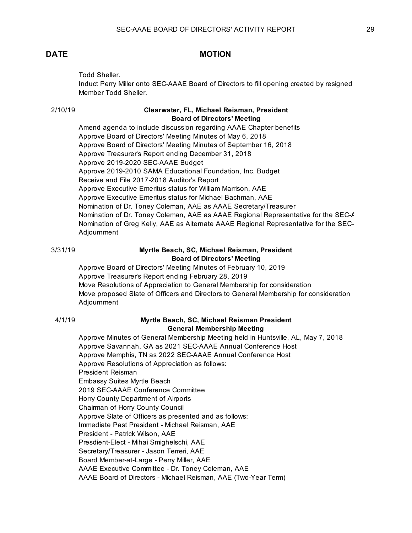Todd Sheller.

Induct Perry Miller onto SEC-AAAE Board of Directors to fill opening created by resigned Member Todd Sheller.

### 2/10/19 **Clearwater, FL, Michael Reisman, President Board of Directors' Meeting**

Amend agenda to include discussion regarding AAAE Chapter benefits Approve Board of Directors' Meeting Minutes of May 6, 2018 Approve Board of Directors' Meeting Minutes of September 16, 2018 Approve Treasurer's Report ending December 31, 2018 Approve 2019-2020 SEC-AAAE Budget Approve 2019-2010 SAMA Educational Foundation, Inc. Budget Receive and File 2017-2018 Auditor's Report Approve Executive Emeritus status for William Marrison, AAE Approve Executive Emeritus status for Michael Bachman, AAE Nomination of Dr. Toney Coleman, AAE as AAAE Secretary/Treasurer Nomination of Dr. Toney Coleman, AAE as AAAE Regional Representative for the SEC-A Nomination of Greg Kelly, AAE as Alternate AAAE Regional Representative for the SEC-Adjournment

### 3/31/19 **Myrtle Beach, SC, Michael Reisman, President Board of Directors' Meeting**

Approve Board of Directors' Meeting Minutes of February 10, 2019 Approve Treasurer's Report ending February 28, 2019 Move Resolutions of Appreciation to General Membership for consideration Move proposed Slate of Officers and Directors to General Membership for consideration Adjournment

### 4/1/19 **Myrtle Beach, SC, Michael Reisman President General Membership Meeting**

Approve Minutes of General Membership Meeting held in Huntsville, AL, May 7, 2018 Approve Savannah, GA as 2021 SEC-AAAE Annual Conference Host Approve Memphis, TN as 2022 SEC-AAAE Annual Conference Host Approve Resolutions of Appreciation as follows: President Reisman Embassy Suites Myrtle Beach 2019 SEC-AAAE Conference Committee Horry County Department of Airports Chairman of Horry County Council Approve Slate of Officers as presented and as follows: Immediate Past President - Michael Reisman, AAE President - Patrick Wilson, AAE Presdient-Elect - Mihai Smighelschi, AAE Secretary/Treasurer - Jason Terreri, AAE Board Member-at-Large - Perry Miller, AAE AAAE Executive Committee - Dr. Toney Coleman, AAE AAAE Board of Directors - Michael Reisman, AAE (Two-Year Term)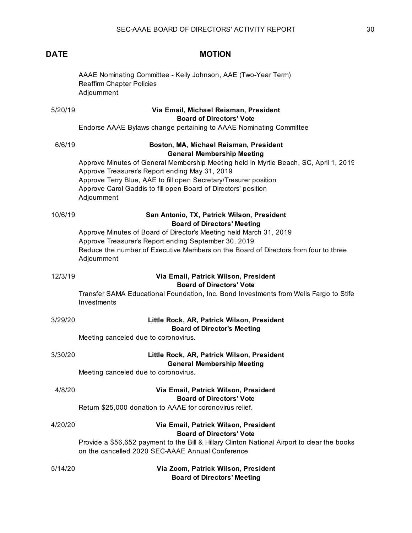AAAE Nominating Committee - Kelly Johnson, AAE (Two-Year Term) Reaffirm Chapter Policies Adjournment

## 5/20/19 **Via Email, Michael Reisman, President Board of Directors' Vote**

Endorse AAAE Bylaws change pertaining to AAAE Nominating Committee

|         | motion rivers spawo onango ponaning to rivers nominating                                                                                                                                                                                                                                                                                                                    |
|---------|-----------------------------------------------------------------------------------------------------------------------------------------------------------------------------------------------------------------------------------------------------------------------------------------------------------------------------------------------------------------------------|
| 6/6/19  | Boston, MA, Michael Reisman, President<br><b>General Membership Meeting</b><br>Approve Minutes of General Membership Meeting held in Myrtle Beach, SC, April 1, 2019<br>Approve Treasurer's Report ending May 31, 2019<br>Approve Terry Blue, AAE to fill open Secretary/Tresurer position<br>Approve Carol Gaddis to fill open Board of Directors' position<br>Adjournment |
| 10/6/19 | San Antonio, TX, Patrick Wilson, President<br><b>Board of Directors' Meeting</b><br>Approve Minutes of Board of Director's Meeting held March 31, 2019<br>Approve Treasurer's Report ending September 30, 2019<br>Reduce the number of Executive Members on the Board of Directors from four to three<br>Adjournment                                                        |
| 12/3/19 | Via Email, Patrick Wilson, President<br><b>Board of Directors' Vote</b><br>Transfer SAMA Educational Foundation, Inc. Bond Investments from Wells Fargo to Stife<br>Investments                                                                                                                                                                                             |
| 3/29/20 | Little Rock, AR, Patrick Wilson, President<br><b>Board of Director's Meeting</b><br>Meeting canceled due to coronovirus.                                                                                                                                                                                                                                                    |
| 3/30/20 | Little Rock, AR, Patrick Wilson, President<br><b>General Membership Meeting</b><br>Meeting canceled due to coronovirus.                                                                                                                                                                                                                                                     |
| 4/8/20  | Via Email, Patrick Wilson, President<br><b>Board of Directors' Vote</b><br>Return \$25,000 donation to AAAE for coronovirus relief.                                                                                                                                                                                                                                         |
| 4/20/20 | Via Email, Patrick Wilson, President<br><b>Board of Directors' Vote</b><br>Provide a \$56,652 payment to the Bill & Hillary Clinton National Airport to clear the books<br>on the cancelled 2020 SEC-AAAE Annual Conference                                                                                                                                                 |
| 5/14/20 | Via Zoom, Patrick Wilson, President<br><b>Board of Directors' Meeting</b>                                                                                                                                                                                                                                                                                                   |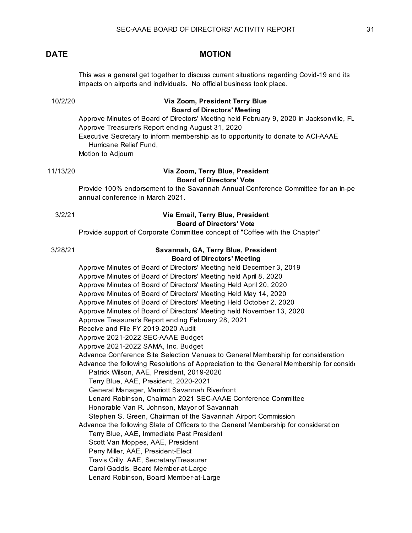This was a general get together to discuss current situations regarding Covid-19 and its impacts on airports and individuals. No official business took place.

## 10/2/20 **Via Zoom, President Terry Blue Board of Directors' Meeting**

Approve Minutes of Board of Directors' Meeting held February 9, 2020 in Jacksonville, FL Approve Treasurer's Report ending August 31, 2020 Executive Secretary to inform membership as to opportunity to donate to ACI-AAAE Hurricane Relief Fund, Motion to Adjourn

## 11/13/20 **Via Zoom, Terry Blue, President Board of Directors' Vote**

Provide 100% endorsement to the Savannah Annual Conference Committee for an in-pe annual conference in March 2021.

### 3/2/21 **Via Email, Terry Blue, President Board of Directors' Vote**

Provide support of Corporate Committee concept of "Coffee with the Chapter"

### 3/28/21 **Savannah, GA, Terry Blue, President Board of Directors' Meeting**

Approve Minutes of Board of Directors' Meeting held December 3, 2019 Approve Minutes of Board of Directors' Meeting held April 8, 2020 Approve Minutes of Board of Directors' Meeting Held April 20, 2020 Approve Minutes of Board of Directors' Meeting Held May 14, 2020 Approve Minutes of Board of Directors' Meeting Held October 2, 2020 Approve Minutes of Board of Directors' Meeting held November 13, 2020 Approve Treasurer's Report ending February 28, 2021 Receive and File FY 2019-2020 Audit Approve 2021-2022 SEC-AAAE Budget Approve 2021-2022 SAMA, Inc. Budget Advance Conference Site Selection Venues to General Membership for consideration Advance the following Resolutions of Appreciation to the General Membership for consideration Patrick Wilson, AAE, President, 2019-2020 Terry Blue, AAE, President, 2020-2021 General Manager, Marriott Savannah Riverfront Lenard Robinson, Chairman 2021 SEC-AAAE Conference Committee Honorable Van R. Johnson, Mayor of Savannah Stephen S. Green, Chairman of the Savannah Airport Commission Advance the following Slate of Officers to the General Membership for consideration Terry Blue, AAE, Immediate Past President Scott Van Moppes, AAE, President Perry Miller, AAE, President-Elect Travis Crilly, AAE, Secretary/Treasurer Carol Gaddis, Board Member-at-Large Lenard Robinson, Board Member-at-Large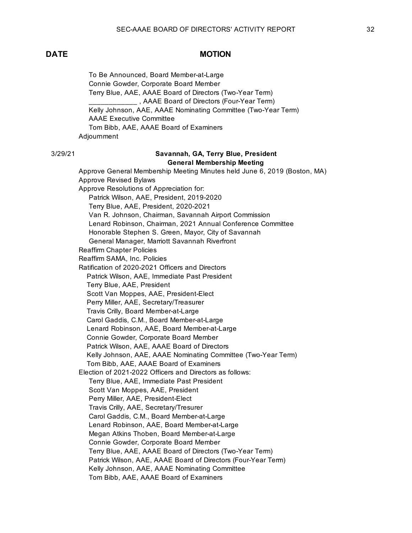To Be Announced, Board Member-at-Large Connie Gowder, Corporate Board Member Terry Blue, AAE, AAAE Board of Directors (Two-Year Term) \_\_\_\_\_\_\_\_\_\_\_\_ , AAAE Board of Directors (Four-Year Term) Kelly Johnson, AAE, AAAE Nominating Committee (Two-Year Term) AAAE Executive Committee Tom Bibb, AAE, AAAE Board of Examiners Adjournment

### 3/29/21 **Savannah, GA, Terry Blue, President General Membership Meeting**

Approve General Membership Meeting Minutes held June 6, 2019 (Boston, MA) Approve Revised Bylaws Approve Resolutions of Appreciation for: Patrick Wilson, AAE, President, 2019-2020 Terry Blue, AAE, President, 2020-2021 Van R. Johnson, Chairman, Savannah Airport Commission Lenard Robinson, Chairman, 2021 Annual Conference Committee Honorable Stephen S. Green, Mayor, City of Savannah General Manager, Marriott Savannah Riverfront Reaffirm Chapter Policies Reaffirm SAMA, Inc. Policies Ratification of 2020-2021 Officers and Directors Patrick Wilson, AAE, Immediate Past President Terry Blue, AAE, President Scott Van Moppes, AAE, President-Elect Perry Miller, AAE, Secretary/Treasurer Travis Crilly, Board Member-at-Large Carol Gaddis, C.M., Board Member-at-Large Lenard Robinson, AAE, Board Member-at-Large Connie Gowder, Corporate Board Member Patrick Wilson, AAE, AAAE Board of Directors Kelly Johnson, AAE, AAAE Nominating Committee (Two-Year Term) Tom Bibb, AAE, AAAE Board of Examiners Election of 2021-2022 Officers and Directors as follows: Terry Blue, AAE, Immediate Past President Scott Van Moppes, AAE, President Perry Miller, AAE, President-Elect Travis Crilly, AAE, Secretary/Tresurer Carol Gaddis, C.M., Board Member-at-Large Lenard Robinson, AAE, Board Member-at-Large Megan Atkins Thoben, Board Member-at-Large Connie Gowder, Corporate Board Member Terry Blue, AAE, AAAE Board of Directors (Two-Year Term) Patrick Wilson, AAE, AAAE Board of Directors (Four-Year Term) Kelly Johnson, AAE, AAAE Nominating Committee Tom Bibb, AAE, AAAE Board of Examiners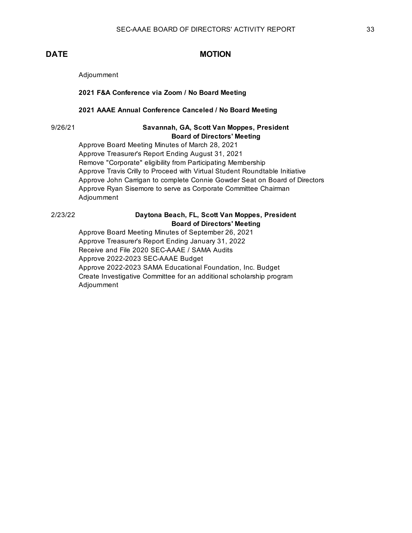Adjournment

**2021 F&A Conference via Zoom / No Board Meeting**

### **2021 AAAE Annual Conference Canceled / No Board Meeting**

## 9/26/21 **Savannah, GA, Scott Van Moppes, President Board of Directors' Meeting**

Approve Board Meeting Minutes of March 28, 2021 Approve Treasurer's Report Ending August 31, 2021 Remove "Corporate" eligibility from Participating Membership Approve Travis Crilly to Proceed with Virtual Student Roundtable Initiative Approve John Carrigan to complete Connie Gowder Seat on Board of Directors Approve Ryan Sisemore to serve as Corporate Committee Chairman Adjournment

## 2/23/22 **Daytona Beach, FL, Scott Van Moppes, President Board of Directors' Meeting**

Approve Board Meeting Minutes of September 26, 2021 Approve Treasurer's Report Ending January 31, 2022 Receive and File 2020 SEC-AAAE / SAMA Audits Approve 2022-2023 SEC-AAAE Budget Approve 2022-2023 SAMA Educational Foundation, Inc. Budget Create Investigative Committee for an additional scholarship program Adjournment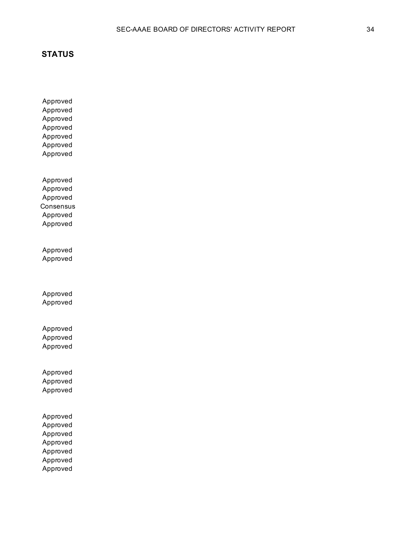Approved

Approved Approved Approved Approved Approved Approved Approved Approved Approved **Consensus** Approved Approved Approved Approved Approved Approved Approved Approved Approved Approved Approved Approved Approved Approved Approved Approved Approved Approved Approved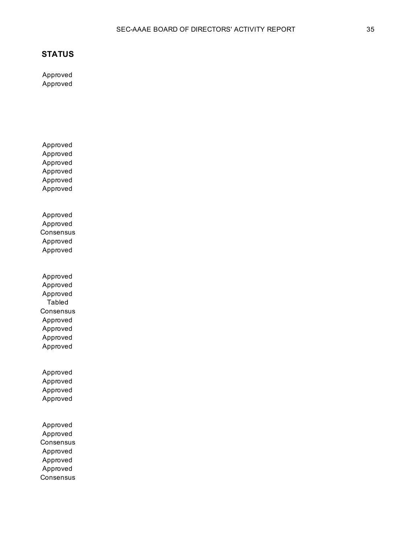Approved Approved

Approved

Approved Approved Approved Approved Approved Approved Approved **Consensus** Approved Approved Approved Approved Approved Tabled **Consensus** Approved Approved Approved Approved Approved Approved Approved Approved Approved Approved **Consensus** Approved Approved Approved **Consensus**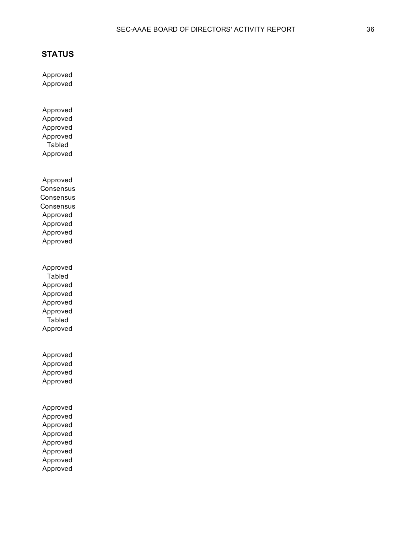Approved Approved

Approved Approved Approved Approved Tabled Approved

Approved Consensus **Consensus Consensus** Approved Approved Approved Approved

Approved Tabled Approved Approved Approved Approved Tabled Approved

Approved Approved Approved Approved

Approved Approved Approved Approved Approved Approved Approved Approved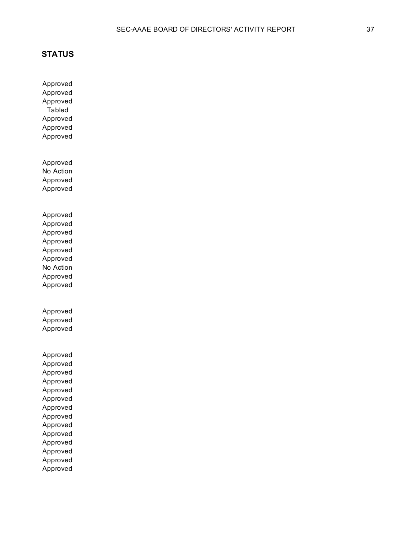Approved Approved Approved Tabled Approved Approved Approved Approved No Action Approved Approved Approved Approved Approved Approved Approved Approved No Action Approved Approved Approved Approved Approved Approved Approved Approved Approved Approved Approved Approved Approved Approved Approved Approved Approved Approved Approved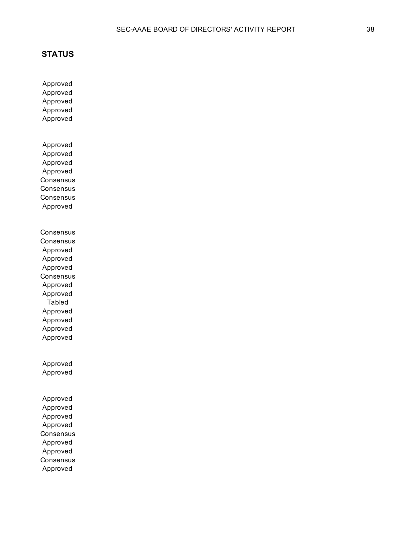Approved Approved

Approved Approved Approved Approved Approved Approved Approved **Consensus Consensus Consensus** Approved **Consensus Consensus** Approved Approved Approved **Consensus** Approved Approved Tabled Approved Approved Approved Approved Approved Approved Approved Approved Approved Approved **Consensus** Approved Approved **Consensus** Approved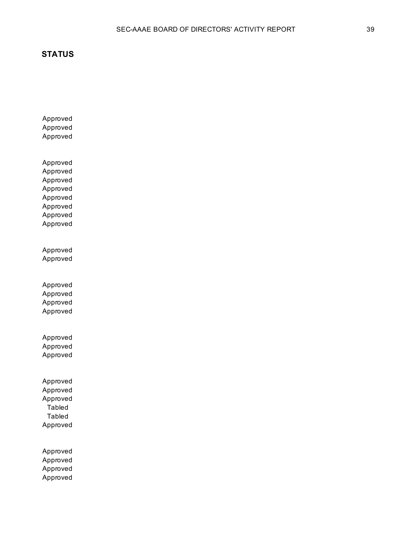Approved Approved Approved Approved Approved Approved Approved Approved Approved Approved Approved Approved Approved Approved Approved Approved Approved Approved Approved Approved Approved Approved Approved Tabled Tabled Approved Approved Approved Approved Approved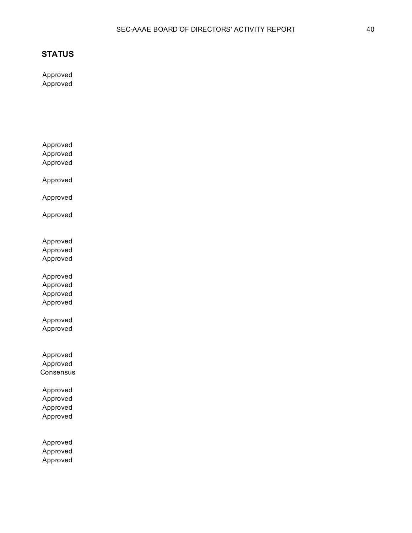Approved Approved

Approved

Approved Approved Approved Approved Approved Approved Approved Approved Approved Approved Approved Approved Approved Approved

Approved Approved **Consensus** 

Approved Approved Approved Approved

Approved Approved Approved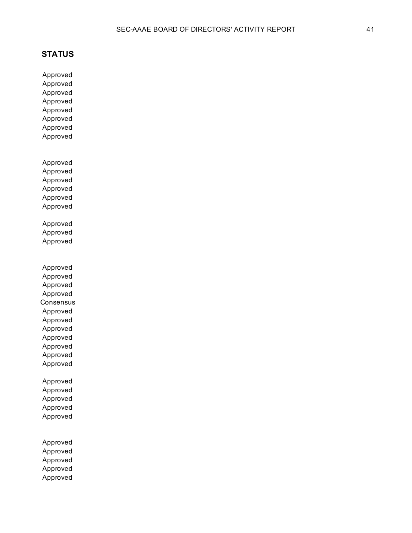Approved Approved Approved Approved Approved Approved Approved Approved Approved Approved Approved Approved Approved Approved Approved Approved Approved Approved Approved Approved Approved **Consensus** Approved Approved Approved Approved Approved Approved Approved Approved Approved Approved Approved Approved Approved Approved Approved Approved

Approved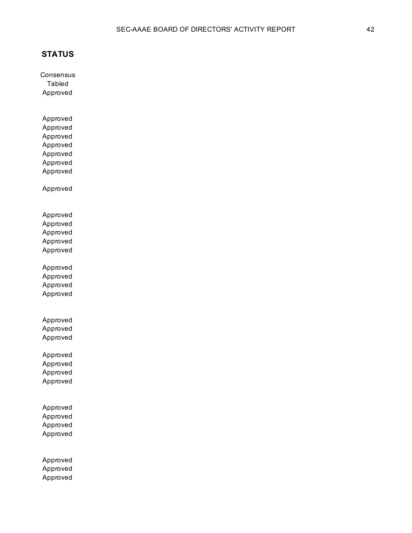**Consensus** Tabled Approved

Approved Approved Approved Approved Approved Approved Approved

Approved

Approved Approved Approved Approved Approved

Approved Approved Approved Approved

Approved Approved Approved

Approved Approved Approved Approved

Approved Approved Approved Approved

Approved Approved Approved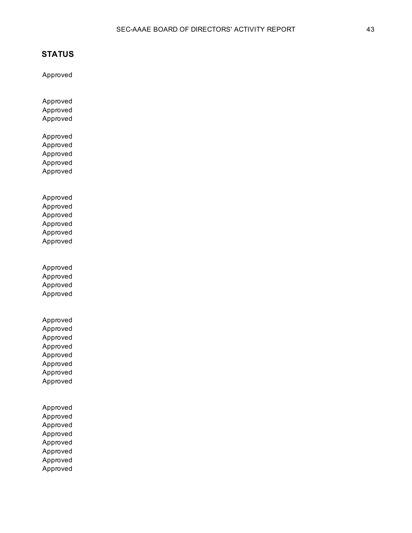Approved

Approved

Approved Approved Approved Approved Approved Approved Approved Approved Approved Approved Approved Approved Approved Approved Approved Approved Approved Approved Approved Approved Approved Approved Approved Approved Approved Approved Approved Approved Approved Approved Approved Approved Approved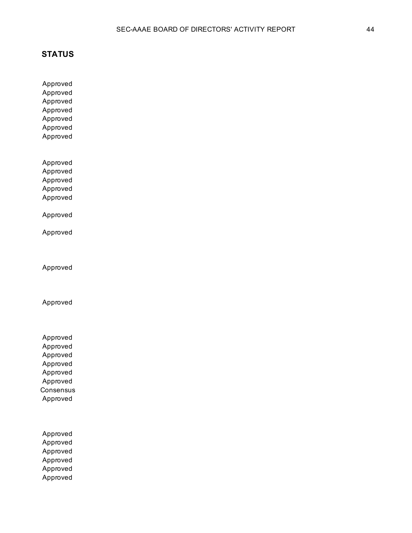Approved Approved Approved Approved Approved Approved Approved

Approved Approved Approved Approved Approved

Approved

Approved

Approved

Approved

Approved Approved Approved Approved Approved Approved **Consensus** Approved

Approved Approved Approved Approved Approved Approved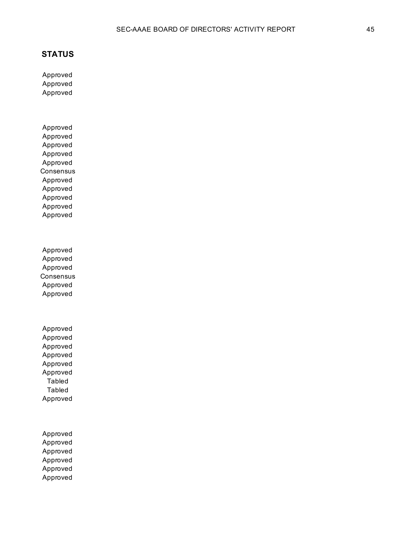Approved Approved Approved

Approved Approved Approved Approved Approved **Consensus** Approved Approved Approved Approved Approved

Approved Approved Approved **Consensus** Approved Approved

Approved Approved Approved Approved Approved Approved Tabled Tabled Approved

Approved Approved Approved Approved Approved Approved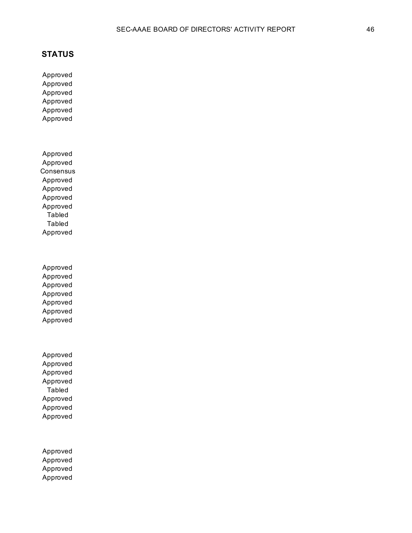Approved Approved Approved Approved Approved Approved

Approved Approved **Consensus** Approved Approved Approved Approved Tabled Tabled Approved

Approved Approved Approved Approved Approved Approved Approved

Approved Approved Approved Approved Tabled Approved Approved Approved

Approved Approved Approved Approved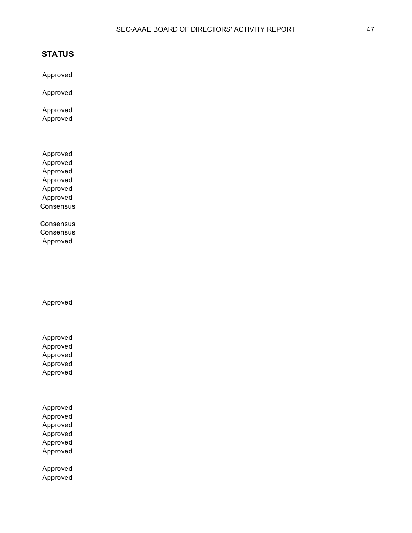Approved

Approved

Approved Approved

Approved Approved Approved Approved Approved Approved **Consensus** 

**Consensus Consensus** Approved

Approved

Approved Approved Approved Approved Approved

Approved Approved Approved Approved Approved Approved

Approved Approved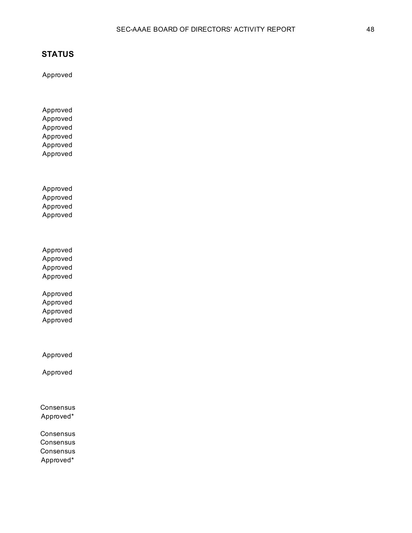Approved

Approved Approved Approved Approved Approved Approved

Approved Approved Approved Approved

Approved Approved Approved Approved

Approved Approved Approved Approved

Approved

Approved

Consensus Approved\*

Consensus **Consensus** Consensus Approved\*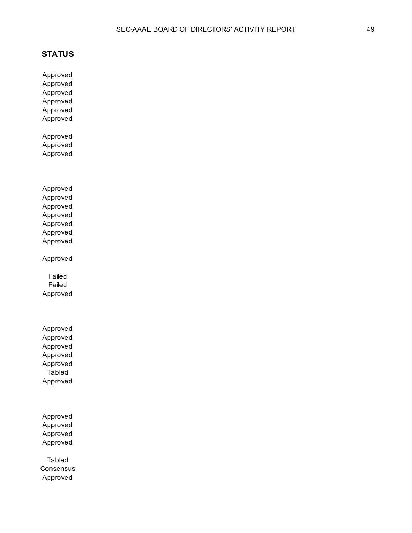Approved

Approved Approved Approved Approved Approved Approved Approved Approved Approved Approved Approved Approved Approved Approved Approved Approved Failed Failed Approved Approved Approved Approved Approved

Approved Tabled Approved

Approved Approved Approved Approved

Tabled **Consensus** Approved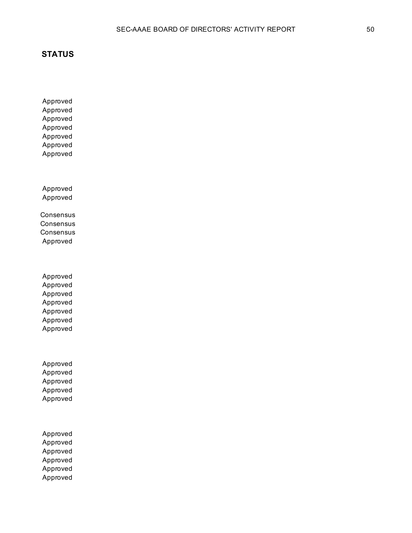Approved Approved Approved Approved Approved Approved Approved

Approved Approved

Consensus **Consensus Consensus** Approved

Approved Approved Approved Approved Approved Approved Approved

Approved Approved Approved Approved Approved

Approved Approved Approved Approved Approved Approved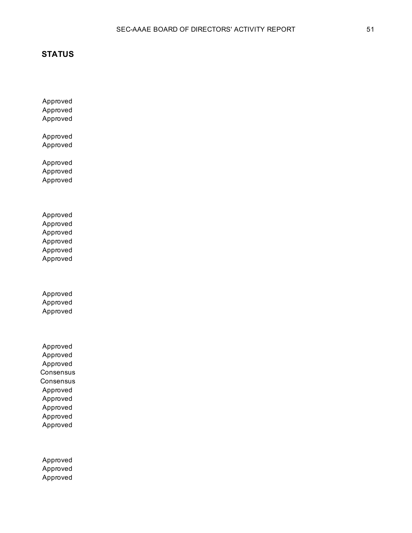Approved Approved Approved

Approved Approved

Approved Approved Approved

Approved Approved Approved Approved Approved Approved

Approved Approved Approved

Approved Approved Approved **Consensus Consensus** Approved Approved Approved Approved Approved

Approved Approved Approved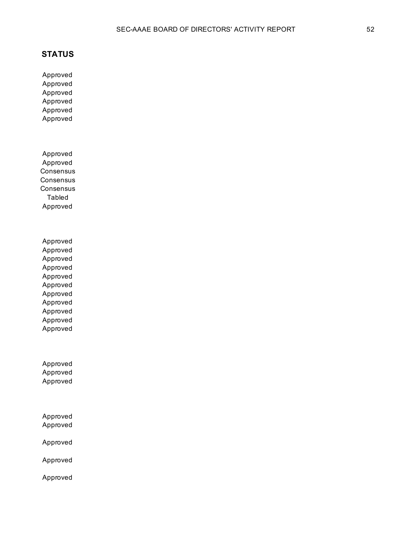Approved Approved Approved Approved Approved Approved

Approved Approved **Consensus Consensus** Consensus Tabled Approved

Approved Approved Approved Approved Approved Approved Approved Approved Approved Approved Approved

Approved Approved Approved

Approved Approved

Approved

Approved

Approved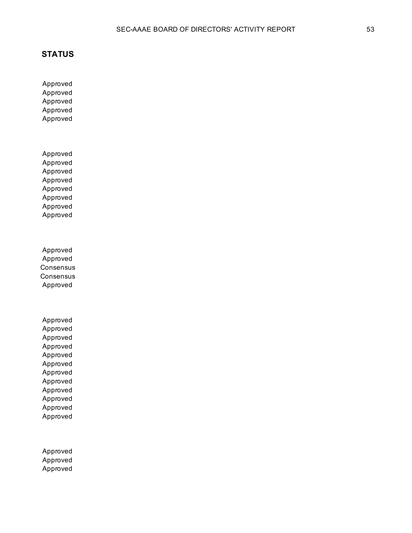Approved Approved Approved Approved Approved

Approved Approved Approved Approved Approved Approved Approved Approved

Approved Approved **Consensus Consensus** Approved

Approved Approved Approved Approved Approved Approved Approved Approved Approved Approved Approved Approved

Approved Approved Approved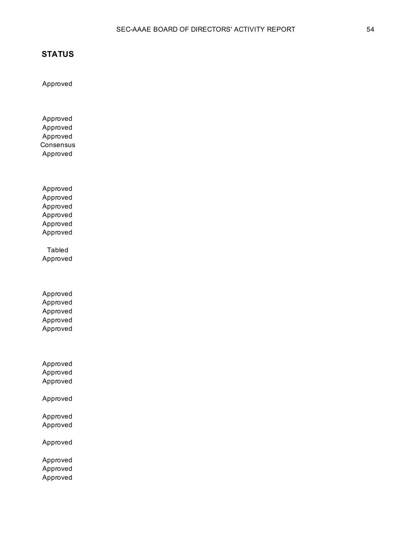Approved

Approved Approved Approved **Consensus** Approved

Approved Approved Approved Approved Approved Approved

Tabled Approved

Approved Approved Approved Approved Approved

Approved Approved Approved

Approved

Approved Approved

Approved

Approved Approved Approved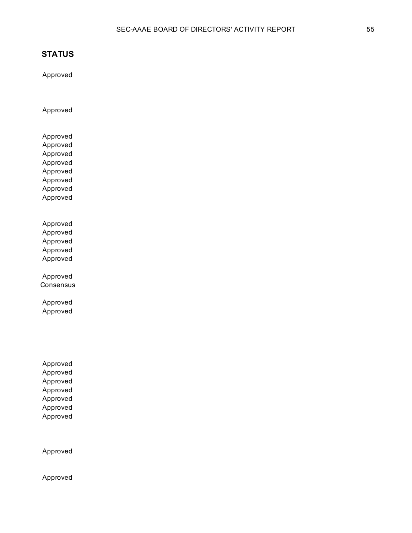Approved

Approved

Approved Approved Approved Approved Approved Approved Approved Approved

Approved Approved Approved Approved Approved

Approved **Consensus** 

Approved Approved

Approved Approved Approved Approved Approved Approved Approved

Approved

Approved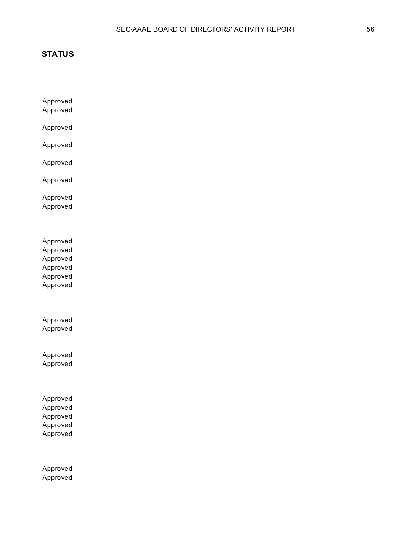Approved Approved

Approved

Approved

Approved

Approved

Approved Approved

Approved Approved Approved Approved Approved Approved

Approved Approved

Approved Approved

Approved Approved Approved Approved Approved

Approved Approved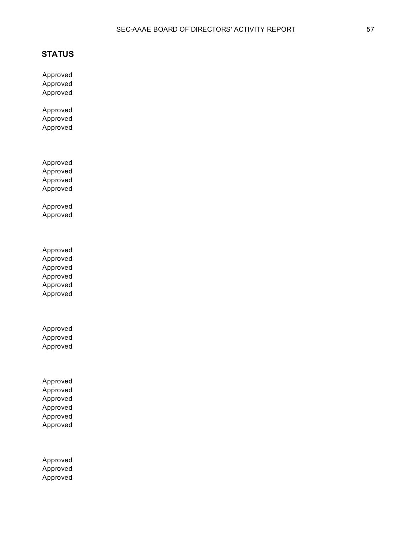Approved Approved Approved

Approved Approved Approved

Approved Approved Approved Approved

Approved Approved

Approved Approved Approved Approved Approved Approved

Approved Approved Approved

Approved Approved Approved Approved Approved Approved

Approved Approved Approved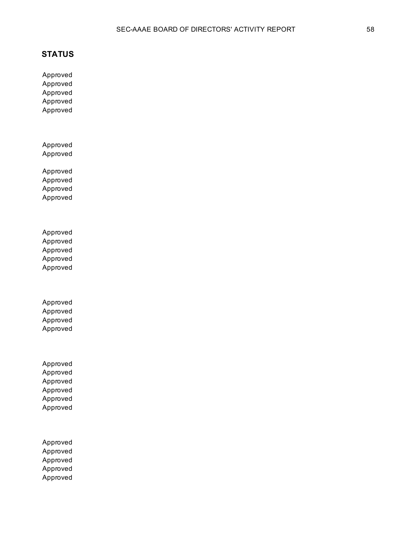Approved Approved Approved Approved Approved

Approved Approved

Approved Approved Approved Approved

Approved Approved Approved Approved Approved

Approved Approved Approved Approved

Approved Approved Approved Approved Approved Approved

Approved Approved Approved Approved Approved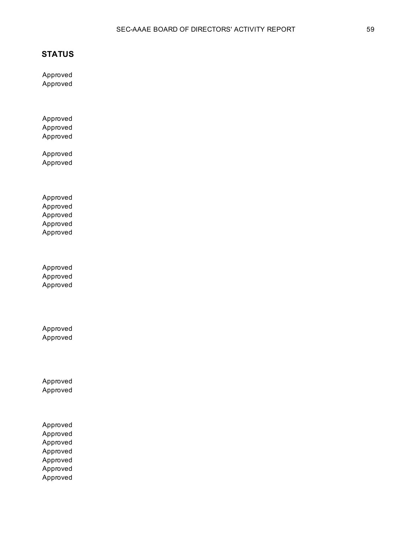Approved Approved

Approved Approved Approved

Approved Approved

Approved Approved Approved Approved Approved

Approved Approved Approved

Approved Approved

Approved Approved

Approved Approved Approved Approved Approved Approved Approved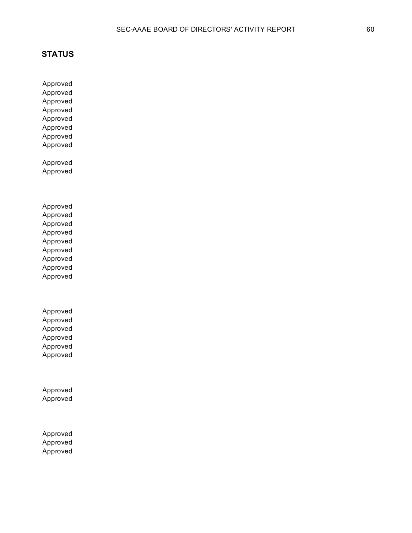Approved Approved

Approved Approved Approved Approved Approved Approved Approved Approved Approved Approved Approved Approved Approved Approved Approved Approved Approved Approved Approved Approved Approved

Approved Approved

Approved Approved

Approved Approved Approved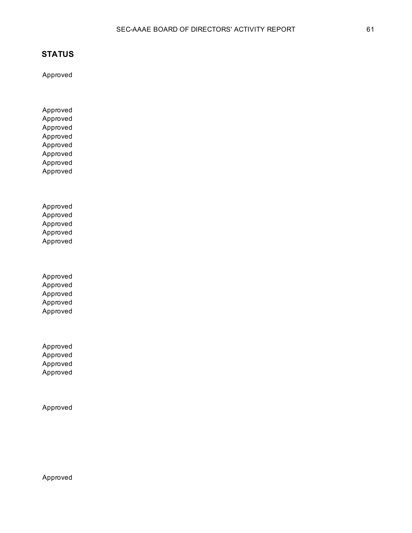Approved

Approved Approved Approved Approved Approved Approved Approved Approved

Approved Approved Approved Approved Approved

Approved Approved Approved Approved Approved

Approved Approved Approved Approved

Approved

Approved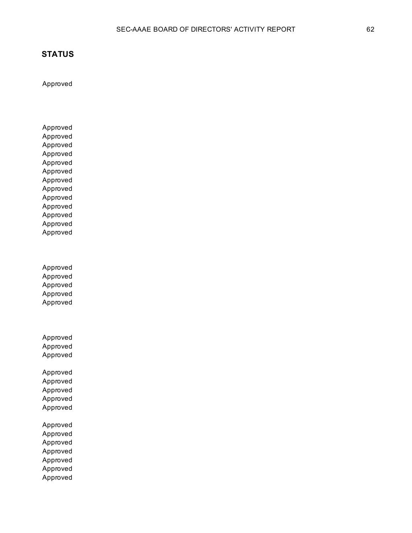Approved

Approved Approved Approved Approved Approved Approved Approved Approved Approved Approved Approved Approved Approved

Approved Approved Approved Approved Approved

Approved Approved Approved Approved Approved Approved Approved

Approved

Approved Approved Approved Approved Approved Approved Approved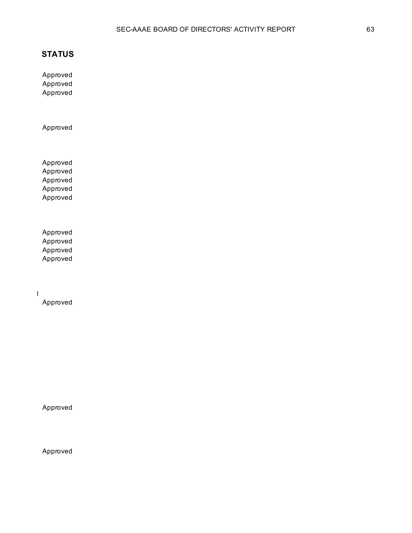Approved Approved Approved

Approved

Approved Approved Approved Approved Approved

Approved Approved Approved Approved

Transfer SAMA Educational Foundation, Inc. Bond Investments from Wells Fargo to Stifel

Approved

Approved

Approved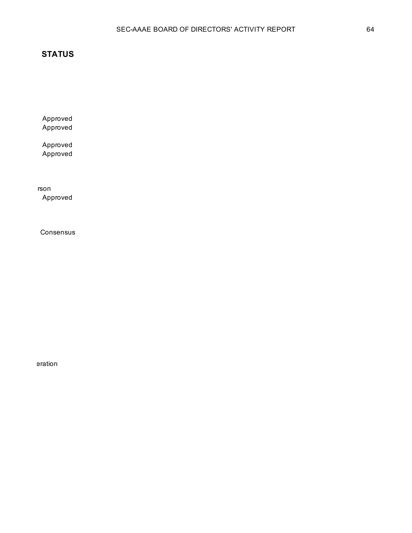Approved Approved

Approved Approved

Provide 100% endorsement to the Savannah Annual Conference Committee for an in-person Approved

**Consensus** 

eration **Exercise Seration**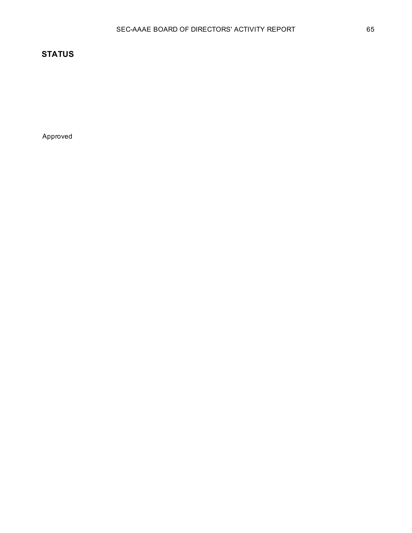Approved